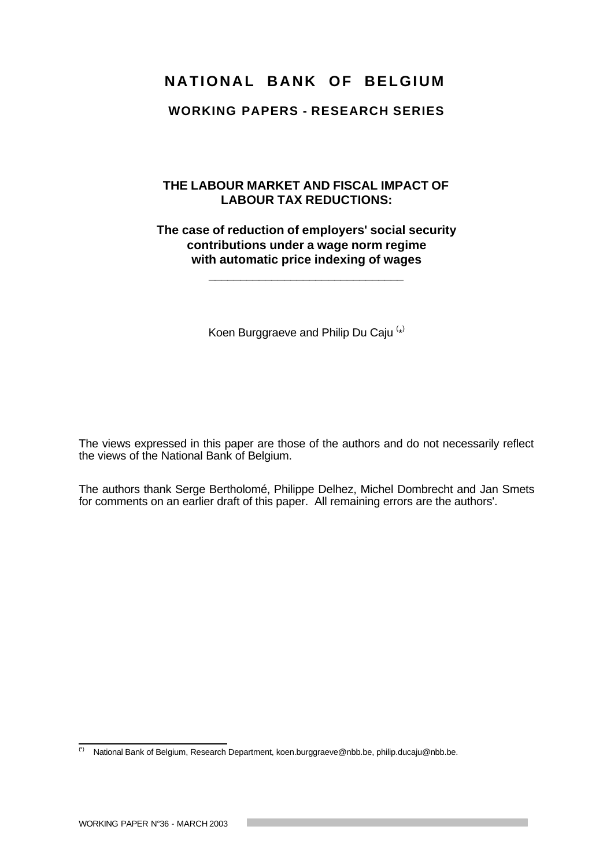# **NATIONAL BANK OF BELGIUM**

# **WORKING PAPERS - RESEARCH SERIES**

# **THE LABOUR MARKET AND FISCAL IMPACT OF LABOUR TAX REDUCTIONS:**

# **The case of reduction of employers' social security contributions under a wage norm regime with automatic price indexing of wages**

*\_\_\_\_\_\_\_\_\_\_\_\_\_\_\_\_\_\_\_\_\_\_\_\_\_\_\_\_\_\_\_*

Koen Burggraeve and Philip Du Caju (\*)

The views expressed in this paper are those of the authors and do not necessarily reflect the views of the National Bank of Belgium.

The authors thank Serge Bertholomé, Philippe Delhez, Michel Dombrecht and Jan Smets for comments on an earlier draft of this paper. All remaining errors are the authors'.

l <sup>(\*)</sup> National Bank of Belgium, Research Department, koen.burggraeve@nbb.be, philip.ducaju@nbb.be.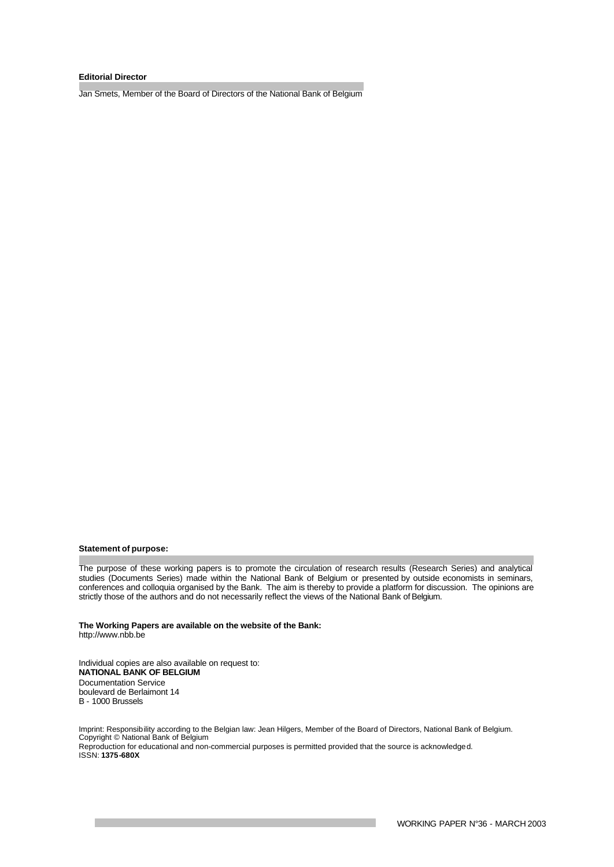#### **Editorial Director**

Jan Smets, Member of the Board of Directors of the National Bank of Belgium

#### **Statement of purpose:**

The purpose of these working papers is to promote the circulation of research results (Research Series) and analytical studies (Documents Series) made within the National Bank of Belgium or presented by outside economists in seminars, conferences and colloquia organised by the Bank. The aim is thereby to provide a platform for discussion. The opinions are strictly those of the authors and do not necessarily reflect the views of the National Bank of Belgium.

**The Working Papers are available on the website of the Bank:** http://www.nbb.be

Individual copies are also available on request to: **NATIONAL BANK OF BELGIUM** Documentation Service boulevard de Berlaimont 14 B - 1000 Brussels

Imprint: Responsibility according to the Belgian law: Jean Hilgers, Member of the Board of Directors, National Bank of Belgium. Copyright © National Bank of Belgium Reproduction for educational and non-commercial purposes is permitted provided that the source is acknowledged. ISSN: **1375-680X**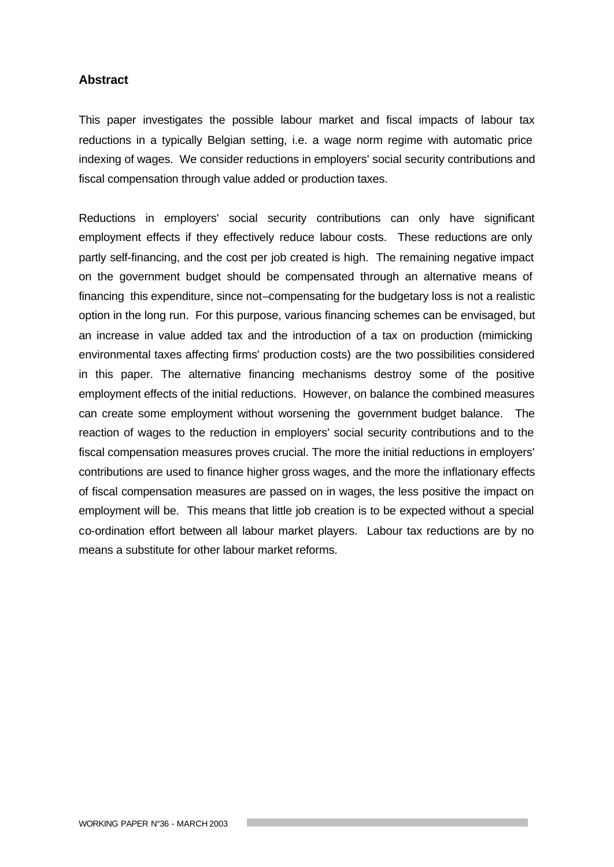# **Abstract**

This paper investigates the possible labour market and fiscal impacts of labour tax reductions in a typically Belgian setting, i.e. a wage norm regime with automatic price indexing of wages. We consider reductions in employers' social security contributions and fiscal compensation through value added or production taxes.

Reductions in employers' social security contributions can only have significant employment effects if they effectively reduce labour costs. These reductions are only partly self-financing, and the cost per job created is high. The remaining negative impact on the government budget should be compensated through an alternative means of financing this expenditure, since not–compensating for the budgetary loss is not a realistic option in the long run. For this purpose, various financing schemes can be envisaged, but an increase in value added tax and the introduction of a tax on production (mimicking environmental taxes affecting firms' production costs) are the two possibilities considered in this paper. The alternative financing mechanisms destroy some of the positive employment effects of the initial reductions. However, on balance the combined measures can create some employment without worsening the government budget balance. The reaction of wages to the reduction in employers' social security contributions and to the fiscal compensation measures proves crucial. The more the initial reductions in employers' contributions are used to finance higher gross wages, and the more the inflationary effects of fiscal compensation measures are passed on in wages, the less positive the impact on employment will be. This means that little job creation is to be expected without a special co-ordination effort between all labour market players. Labour tax reductions are by no means a substitute for other labour market reforms.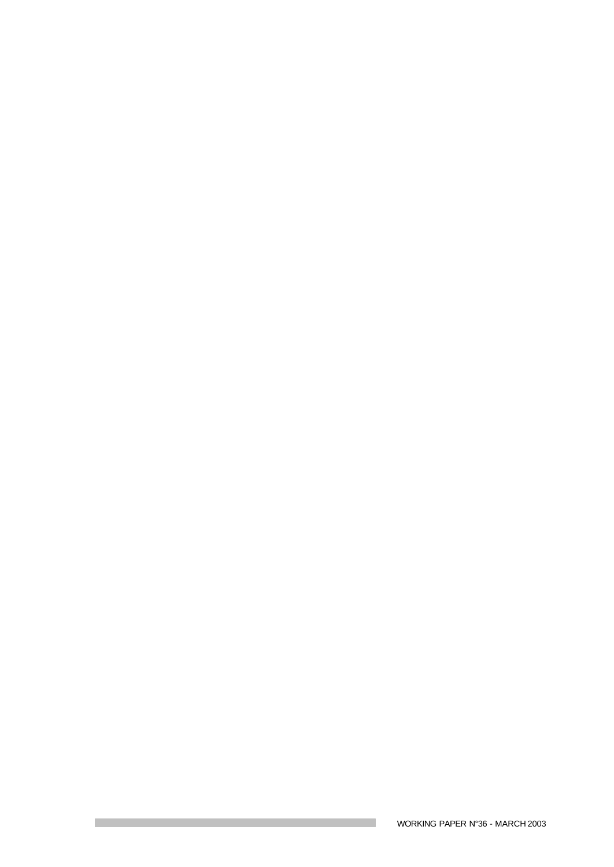WORKING PAPER N°36 - MARCH 2003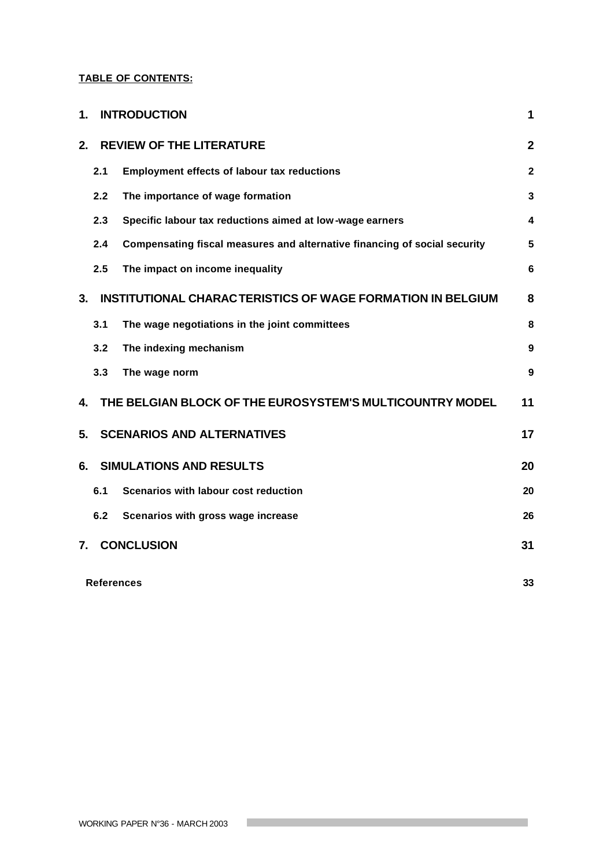### **TABLE OF CONTENTS:**

| 1. |                   | <b>INTRODUCTION</b>                                                       | 1              |
|----|-------------------|---------------------------------------------------------------------------|----------------|
| 2. |                   | <b>REVIEW OF THE LITERATURE</b>                                           | $\mathbf{2}$   |
|    | 2.1               | <b>Employment effects of labour tax reductions</b>                        | $\mathbf{2}$   |
|    | 2.2               | The importance of wage formation                                          | 3              |
|    | 2.3               | Specific labour tax reductions aimed at low-wage earners                  | 4              |
|    | 2.4               | Compensating fiscal measures and alternative financing of social security | 5              |
|    | 2.5               | The impact on income inequality                                           | $6\phantom{1}$ |
| 3. |                   | <b>INSTITUTIONAL CHARAC TERISTICS OF WAGE FORMATION IN BELGIUM</b>        | 8              |
|    | 3.1               | The wage negotiations in the joint committees                             | 8              |
|    | 3.2               | The indexing mechanism                                                    | 9              |
|    | 3.3               | The wage norm                                                             | 9              |
| 4. |                   | THE BELGIAN BLOCK OF THE EUROSYSTEM'S MULTICOUNTRY MODEL                  | 11             |
| 5. |                   | <b>SCENARIOS AND ALTERNATIVES</b>                                         | 17             |
| 6. |                   | <b>SIMULATIONS AND RESULTS</b>                                            | 20             |
|    | 6.1               | Scenarios with labour cost reduction                                      | 20             |
|    | 6.2               | Scenarios with gross wage increase                                        | 26             |
| 7. |                   | <b>CONCLUSION</b>                                                         | 31             |
|    | <b>References</b> |                                                                           | 33             |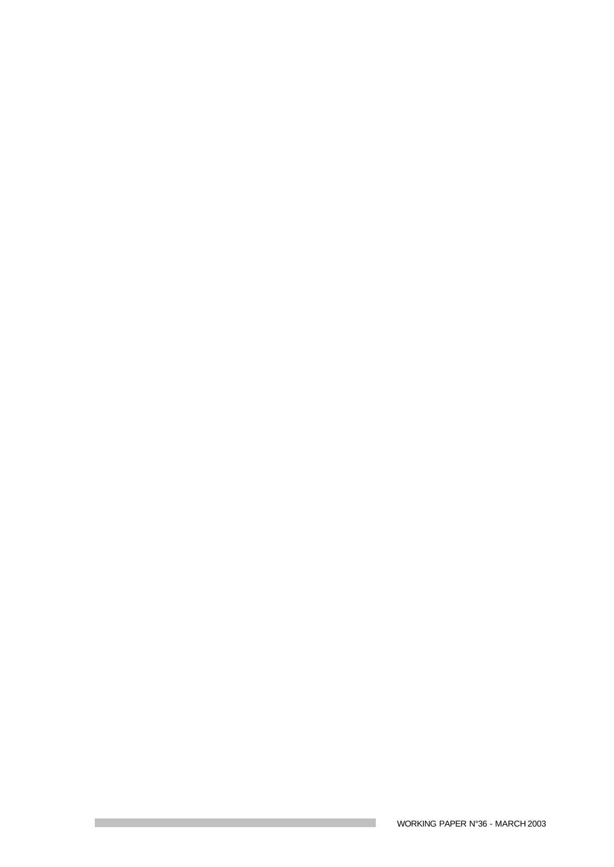WORKING PAPER N°36 - MARCH 2003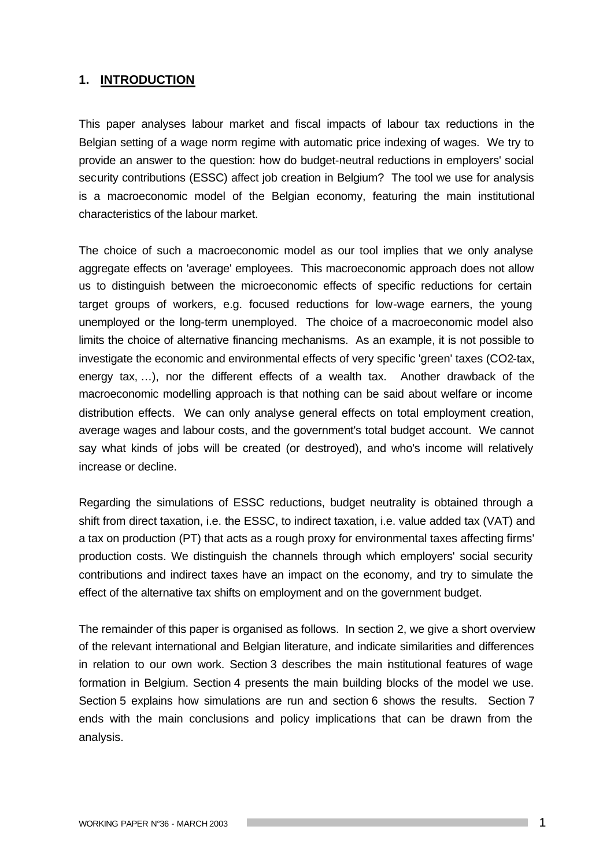# **1. INTRODUCTION**

This paper analyses labour market and fiscal impacts of labour tax reductions in the Belgian setting of a wage norm regime with automatic price indexing of wages. We try to provide an answer to the question: how do budget-neutral reductions in employers' social security contributions (ESSC) affect job creation in Belgium? The tool we use for analysis is a macroeconomic model of the Belgian economy, featuring the main institutional characteristics of the labour market.

The choice of such a macroeconomic model as our tool implies that we only analyse aggregate effects on 'average' employees. This macroeconomic approach does not allow us to distinguish between the microeconomic effects of specific reductions for certain target groups of workers, e.g. focused reductions for low-wage earners, the young unemployed or the long-term unemployed. The choice of a macroeconomic model also limits the choice of alternative financing mechanisms. As an example, it is not possible to investigate the economic and environmental effects of very specific 'green' taxes (CO2-tax, energy tax, …), nor the different effects of a wealth tax. Another drawback of the macroeconomic modelling approach is that nothing can be said about welfare or income distribution effects. We can only analyse general effects on total employment creation, average wages and labour costs, and the government's total budget account. We cannot say what kinds of jobs will be created (or destroyed), and who's income will relatively increase or decline.

Regarding the simulations of ESSC reductions, budget neutrality is obtained through a shift from direct taxation, i.e. the ESSC, to indirect taxation, i.e. value added tax (VAT) and a tax on production (PT) that acts as a rough proxy for environmental taxes affecting firms' production costs. We distinguish the channels through which employers' social security contributions and indirect taxes have an impact on the economy, and try to simulate the effect of the alternative tax shifts on employment and on the government budget.

The remainder of this paper is organised as follows. In section 2, we give a short overview of the relevant international and Belgian literature, and indicate similarities and differences in relation to our own work. Section 3 describes the main institutional features of wage formation in Belgium. Section 4 presents the main building blocks of the model we use. Section 5 explains how simulations are run and section 6 shows the results. Section 7 ends with the main conclusions and policy implications that can be drawn from the analysis.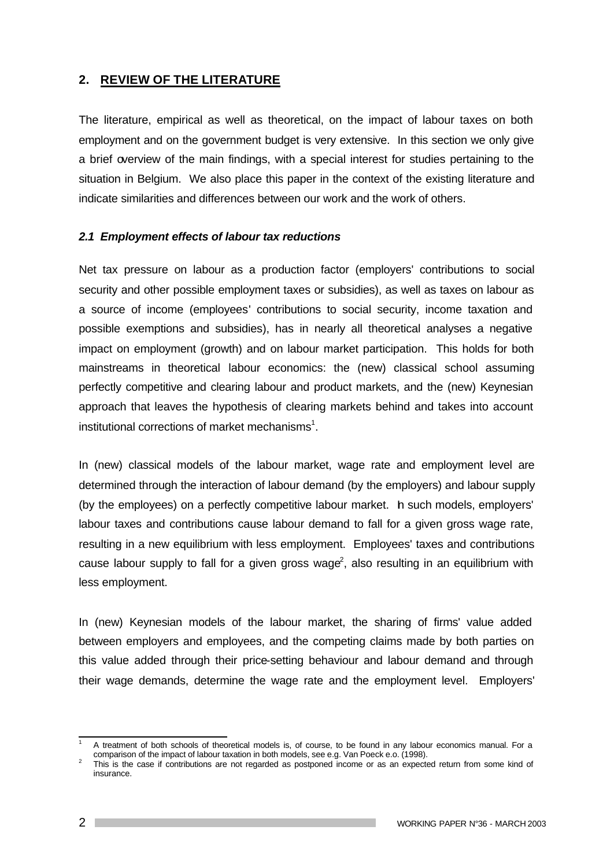# **2. REVIEW OF THE LITERATURE**

The literature, empirical as well as theoretical, on the impact of labour taxes on both employment and on the government budget is very extensive. In this section we only give a brief overview of the main findings, with a special interest for studies pertaining to the situation in Belgium. We also place this paper in the context of the existing literature and indicate similarities and differences between our work and the work of others.

# *2.1 Employment effects of labour tax reductions*

Net tax pressure on labour as a production factor (employers' contributions to social security and other possible employment taxes or subsidies), as well as taxes on labour as a source of income (employees' contributions to social security, income taxation and possible exemptions and subsidies), has in nearly all theoretical analyses a negative impact on employment (growth) and on labour market participation. This holds for both mainstreams in theoretical labour economics: the (new) classical school assuming perfectly competitive and clearing labour and product markets, and the (new) Keynesian approach that leaves the hypothesis of clearing markets behind and takes into account institutional corrections of market mechanisms<sup>1</sup>.

In (new) classical models of the labour market, wage rate and employment level are determined through the interaction of labour demand (by the employers) and labour supply (by the employees) on a perfectly competitive labour market. In such models, employers' labour taxes and contributions cause labour demand to fall for a given gross wage rate, resulting in a new equilibrium with less employment. Employees' taxes and contributions cause labour supply to fall for a given gross wage<sup>2</sup>, also resulting in an equilibrium with less employment.

In (new) Keynesian models of the labour market, the sharing of firms' value added between employers and employees, and the competing claims made by both parties on this value added through their price-setting behaviour and labour demand and through their wage demands, determine the wage rate and the employment level. Employers'

l <sup>1</sup> A treatment of both schools of theoretical models is, of course, to be found in any labour economics manual. For a comparison of the impact of labour taxation in both models, see e.g. Van Poeck e.o. (1998).

<sup>2</sup> This is the case if contributions are not regarded as postponed income or as an expected return from some kind of insurance.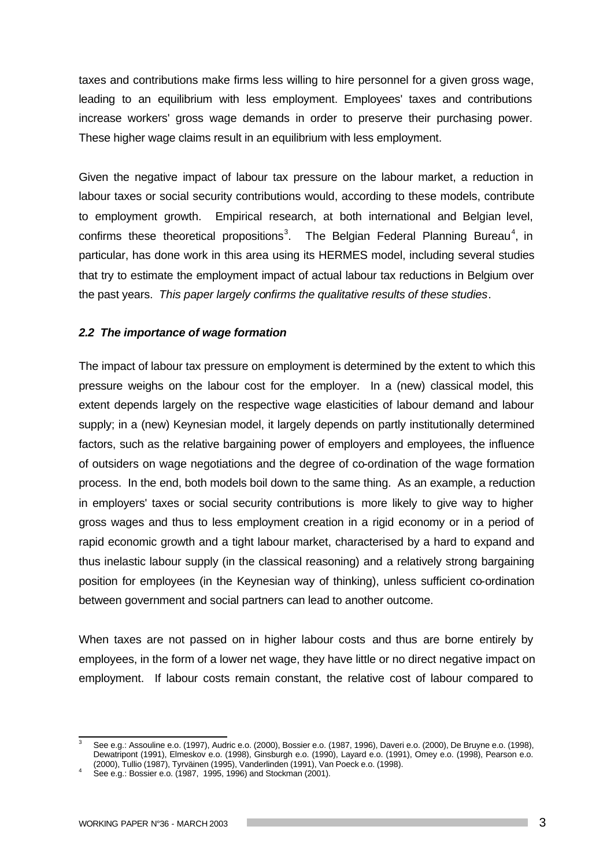taxes and contributions make firms less willing to hire personnel for a given gross wage, leading to an equilibrium with less employment. Employees' taxes and contributions increase workers' gross wage demands in order to preserve their purchasing power. These higher wage claims result in an equilibrium with less employment.

Given the negative impact of labour tax pressure on the labour market, a reduction in labour taxes or social security contributions would, according to these models, contribute to employment growth. Empirical research, at both international and Belgian level, confirms these theoretical propositions<sup>3</sup>. The Belgian Federal Planning Bureau<sup>4</sup>, in particular, has done work in this area using its HERMES model, including several studies that try to estimate the employment impact of actual labour tax reductions in Belgium over the past years. *This paper largely confirms the qualitative results of these studies*.

### *2.2 The importance of wage formation*

The impact of labour tax pressure on employment is determined by the extent to which this pressure weighs on the labour cost for the employer. In a (new) classical model, this extent depends largely on the respective wage elasticities of labour demand and labour supply; in a (new) Keynesian model, it largely depends on partly institutionally determined factors, such as the relative bargaining power of employers and employees, the influence of outsiders on wage negotiations and the degree of co-ordination of the wage formation process. In the end, both models boil down to the same thing. As an example, a reduction in employers' taxes or social security contributions is more likely to give way to higher gross wages and thus to less employment creation in a rigid economy or in a period of rapid economic growth and a tight labour market, characterised by a hard to expand and thus inelastic labour supply (in the classical reasoning) and a relatively strong bargaining position for employees (in the Keynesian way of thinking), unless sufficient co-ordination between government and social partners can lead to another outcome.

When taxes are not passed on in higher labour costs and thus are borne entirely by employees, in the form of a lower net wage, they have little or no direct negative impact on employment. If labour costs remain constant, the relative cost of labour compared to

l

<sup>3</sup> See e.g.: Assouline e.o. (1997), Audric e.o. (2000), Bossier e.o. (1987, 1996), Daveri e.o. (2000), De Bruyne e.o. (1998), Dewatripont (1991), Elmeskov e.o. (1998), Ginsburgh e.o. (1990), Layard e.o. (1991), Omey e.o. (1998), Pearson e.o. (2000), Tullio (1987), Tyrväinen (1995), Vanderlinden (1991), Van Poeck e.o. (1998).

See e.g.: Bossier e.o. (1987, 1995, 1996) and Stockman (2001).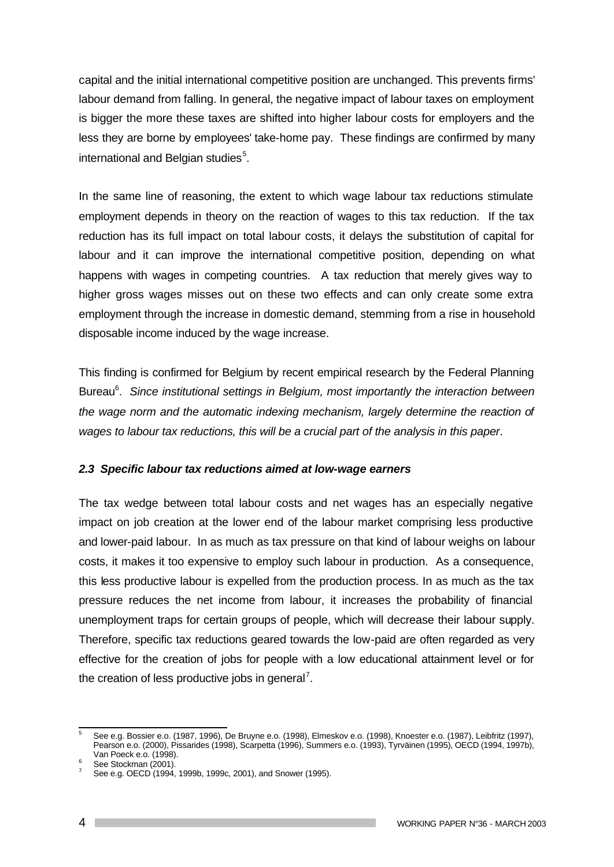capital and the initial international competitive position are unchanged. This prevents firms' labour demand from falling. In general, the negative impact of labour taxes on employment is bigger the more these taxes are shifted into higher labour costs for employers and the less they are borne by employees' take-home pay. These findings are confirmed by many international and Belgian studies<sup>5</sup>.

In the same line of reasoning, the extent to which wage labour tax reductions stimulate employment depends in theory on the reaction of wages to this tax reduction. If the tax reduction has its full impact on total labour costs, it delays the substitution of capital for labour and it can improve the international competitive position, depending on what happens with wages in competing countries. A tax reduction that merely gives way to higher gross wages misses out on these two effects and can only create some extra employment through the increase in domestic demand, stemming from a rise in household disposable income induced by the wage increase.

This finding is confirmed for Belgium by recent empirical research by the Federal Planning Bureau<sup>6</sup>. Since institutional settings in Belgium, most importantly the interaction between *the wage norm and the automatic indexing mechanism, largely determine the reaction of wages to labour tax reductions, this will be a crucial part of the analysis in this paper*.

### *2.3 Specific labour tax reductions aimed at low-wage earners*

The tax wedge between total labour costs and net wages has an especially negative impact on job creation at the lower end of the labour market comprising less productive and lower-paid labour. In as much as tax pressure on that kind of labour weighs on labour costs, it makes it too expensive to employ such labour in production. As a consequence, this less productive labour is expelled from the production process. In as much as the tax pressure reduces the net income from labour, it increases the probability of financial unemployment traps for certain groups of people, which will decrease their labour supply. Therefore, specific tax reductions geared towards the low-paid are often regarded as very effective for the creation of jobs for people with a low educational attainment level or for the creation of less productive jobs in general<sup>7</sup>.

l <sup>5</sup> See e.g. Bossier e.o. (1987, 1996), De Bruyne e.o. (1998), Elmeskov e.o. (1998), Knoester e.o. (1987), Leibfritz (1997), Pearson e.o. (2000), Pissarides (1998), Scarpetta (1996), Summers e.o. (1993), Tyrväinen (1995), OECD (1994, 1997b), Van Poeck e.o. (1998).

<sup>6</sup> See Stockman (2001).

See e.g. OECD (1994, 1999b, 1999c, 2001), and Snower (1995).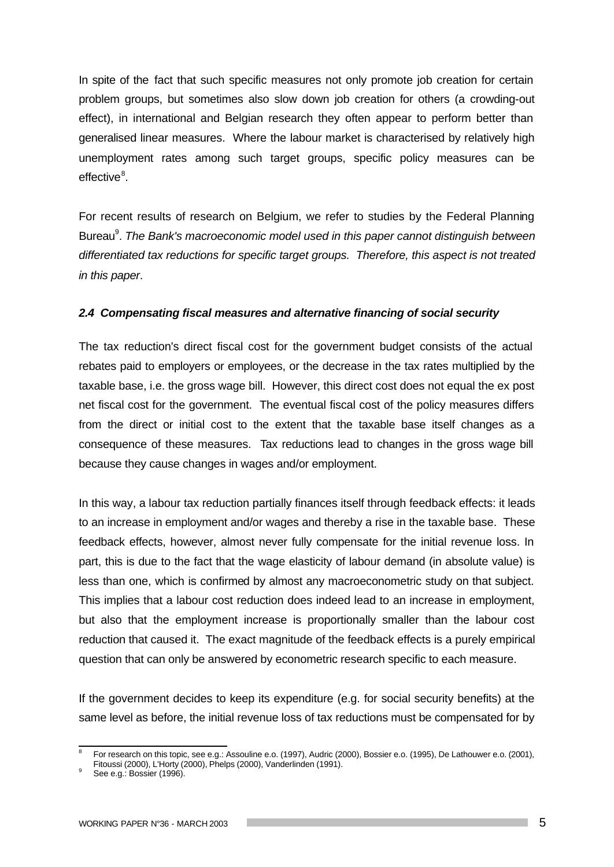In spite of the fact that such specific measures not only promote job creation for certain problem groups, but sometimes also slow down job creation for others (a crowding-out effect), in international and Belgian research they often appear to perform better than generalised linear measures. Where the labour market is characterised by relatively high unemployment rates among such target groups, specific policy measures can be effective<sup>8</sup>.

For recent results of research on Belgium, we refer to studies by the Federal Planning Bureau<sup>9</sup>. The Bank's macroeconomic model used in this paper cannot distinguish between *differentiated tax reductions for specific target groups. Therefore, this aspect is not treated in this paper*.

# *2.4 Compensating fiscal measures and alternative financing of social security*

The tax reduction's direct fiscal cost for the government budget consists of the actual rebates paid to employers or employees, or the decrease in the tax rates multiplied by the taxable base, i.e. the gross wage bill. However, this direct cost does not equal the ex post net fiscal cost for the government. The eventual fiscal cost of the policy measures differs from the direct or initial cost to the extent that the taxable base itself changes as a consequence of these measures. Tax reductions lead to changes in the gross wage bill because they cause changes in wages and/or employment.

In this way, a labour tax reduction partially finances itself through feedback effects: it leads to an increase in employment and/or wages and thereby a rise in the taxable base. These feedback effects, however, almost never fully compensate for the initial revenue loss. In part, this is due to the fact that the wage elasticity of labour demand (in absolute value) is less than one, which is confirmed by almost any macroeconometric study on that subject. This implies that a labour cost reduction does indeed lead to an increase in employment, but also that the employment increase is proportionally smaller than the labour cost reduction that caused it. The exact magnitude of the feedback effects is a purely empirical question that can only be answered by econometric research specific to each measure.

If the government decides to keep its expenditure (e.g. for social security benefits) at the same level as before, the initial revenue loss of tax reductions must be compensated for by

l <sup>8</sup> For research on this topic, see e.g.: Assouline e.o. (1997), Audric (2000), Bossier e.o. (1995), De Lathouwer e.o. (2001), Fitoussi (2000), L'Horty (2000), Phelps (2000), Vanderlinden (1991).

See e.g.: Bossier (1996).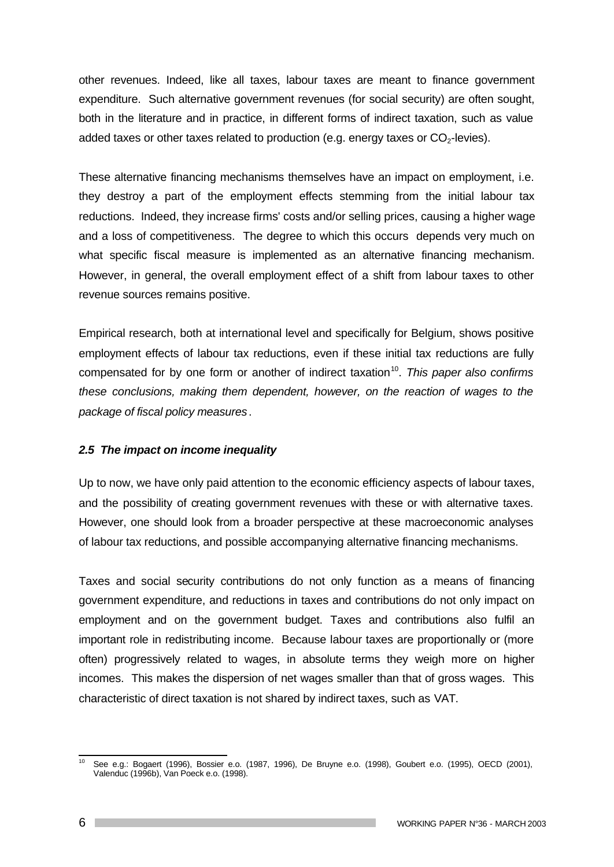other revenues. Indeed, like all taxes, labour taxes are meant to finance government expenditure. Such alternative government revenues (for social security) are often sought, both in the literature and in practice, in different forms of indirect taxation, such as value added taxes or other taxes related to production (e.g. energy taxes or  $CO<sub>2</sub>$ -levies).

These alternative financing mechanisms themselves have an impact on employment, i.e. they destroy a part of the employment effects stemming from the initial labour tax reductions. Indeed, they increase firms' costs and/or selling prices, causing a higher wage and a loss of competitiveness. The degree to which this occurs depends very much on what specific fiscal measure is implemented as an alternative financing mechanism. However, in general, the overall employment effect of a shift from labour taxes to other revenue sources remains positive.

Empirical research, both at international level and specifically for Belgium, shows positive employment effects of labour tax reductions, even if these initial tax reductions are fully compensated for by one form or another of indirect taxation<sup>10</sup>. This paper also confirms *these conclusions, making them dependent, however, on the reaction of wages to the package of fiscal policy measures*.

### *2.5 The impact on income inequality*

Up to now, we have only paid attention to the economic efficiency aspects of labour taxes, and the possibility of creating government revenues with these or with alternative taxes. However, one should look from a broader perspective at these macroeconomic analyses of labour tax reductions, and possible accompanying alternative financing mechanisms.

Taxes and social security contributions do not only function as a means of financing government expenditure, and reductions in taxes and contributions do not only impact on employment and on the government budget. Taxes and contributions also fulfil an important role in redistributing income. Because labour taxes are proportionally or (more often) progressively related to wages, in absolute terms they weigh more on higher incomes. This makes the dispersion of net wages smaller than that of gross wages. This characteristic of direct taxation is not shared by indirect taxes, such as VAT.

 $10$ <sup>10</sup> See e.g.: Bogaert (1996), Bossier e.o. (1987, 1996), De Bruyne e.o. (1998), Goubert e.o. (1995), OECD (2001), Valenduc (1996b), Van Poeck e.o. (1998).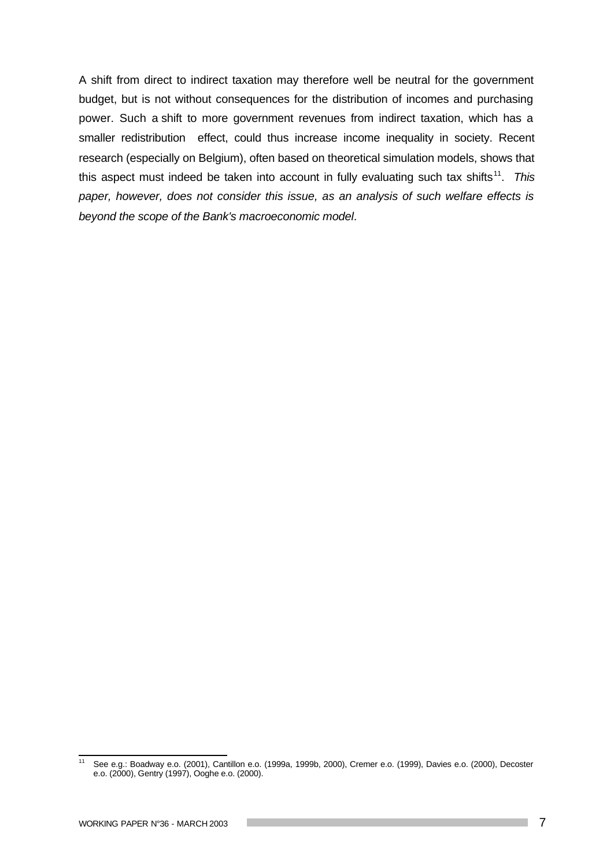A shift from direct to indirect taxation may therefore well be neutral for the government budget, but is not without consequences for the distribution of incomes and purchasing power. Such a shift to more government revenues from indirect taxation, which has a smaller redistribution effect, could thus increase income inequality in society. Recent research (especially on Belgium), often based on theoretical simulation models, shows that this aspect must indeed be taken into account in fully evaluating such tax shifts<sup>11</sup>. This *paper, however, does not consider this issue, as an analysis of such welfare effects is beyond the scope of the Bank's macroeconomic model*.

 $11$ <sup>11</sup> See e.g.: Boadway e.o. (2001), Cantillon e.o. (1999a, 1999b, 2000), Cremer e.o. (1999), Davies e.o. (2000), Decoster e.o. (2000), Gentry (1997), Ooghe e.o. (2000).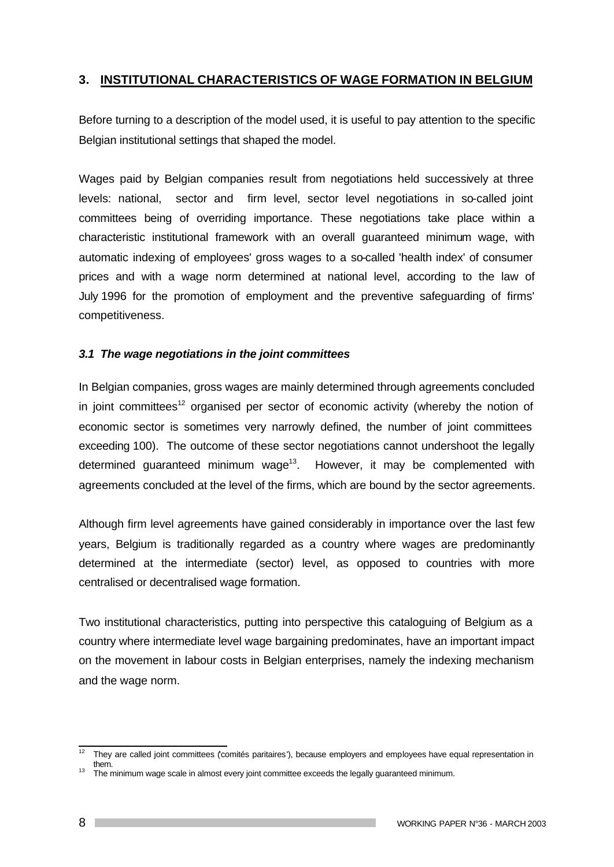# **3. INSTITUTIONAL CHARACTERISTICS OF WAGE FORMATION IN BELGIUM**

Before turning to a description of the model used, it is useful to pay attention to the specific Belgian institutional settings that shaped the model.

Wages paid by Belgian companies result from negotiations held successively at three levels: national, sector and firm level, sector level negotiations in so-called joint committees being of overriding importance. These negotiations take place within a characteristic institutional framework with an overall guaranteed minimum wage, with automatic indexing of employees' gross wages to a so-called 'health index' of consumer prices and with a wage norm determined at national level, according to the law of July 1996 for the promotion of employment and the preventive safeguarding of firms' competitiveness.

# *3.1 The wage negotiations in the joint committees*

In Belgian companies, gross wages are mainly determined through agreements concluded in joint committees<sup>12</sup> organised per sector of economic activity (whereby the notion of economic sector is sometimes very narrowly defined, the number of joint committees exceeding 100). The outcome of these sector negotiations cannot undershoot the legally determined guaranteed minimum wage<sup>13</sup>. However, it may be complemented with agreements concluded at the level of the firms, which are bound by the sector agreements.

Although firm level agreements have gained considerably in importance over the last few years, Belgium is traditionally regarded as a country where wages are predominantly determined at the intermediate (sector) level, as opposed to countries with more centralised or decentralised wage formation.

Two institutional characteristics, putting into perspective this cataloguing of Belgium as a country where intermediate level wage bargaining predominates, have an important impact on the movement in labour costs in Belgian enterprises, namely the indexing mechanism and the wage norm.

 $\overline{12}$ <sup>12</sup> They are called joint committees ('comités paritaires'), because employers and employees have equal representation in them.

<sup>13</sup> The minimum wage scale in almost every joint committee exceeds the legally guaranteed minimum.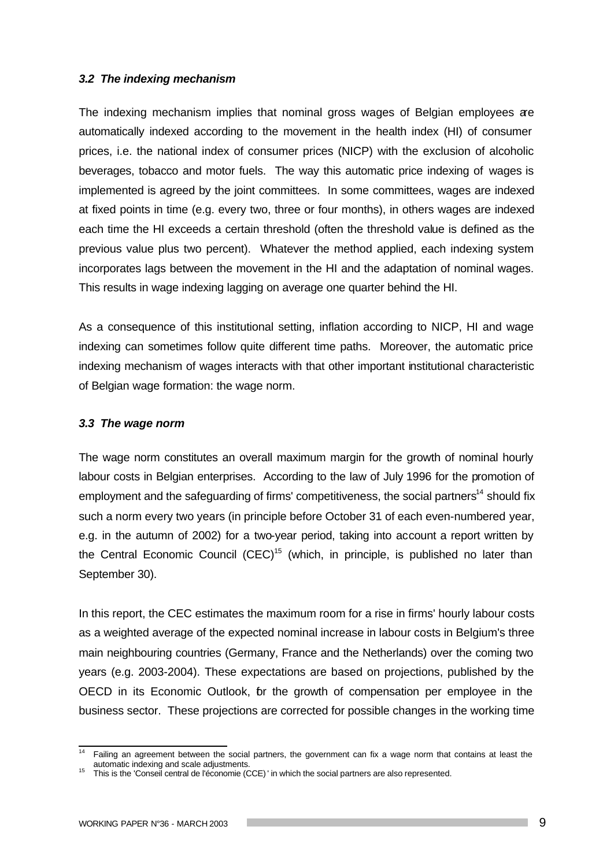### *3.2 The indexing mechanism*

The indexing mechanism implies that nominal gross wages of Belgian employees are automatically indexed according to the movement in the health index (HI) of consumer prices, i.e. the national index of consumer prices (NICP) with the exclusion of alcoholic beverages, tobacco and motor fuels. The way this automatic price indexing of wages is implemented is agreed by the joint committees. In some committees, wages are indexed at fixed points in time (e.g. every two, three or four months), in others wages are indexed each time the HI exceeds a certain threshold (often the threshold value is defined as the previous value plus two percent). Whatever the method applied, each indexing system incorporates lags between the movement in the HI and the adaptation of nominal wages. This results in wage indexing lagging on average one quarter behind the HI.

As a consequence of this institutional setting, inflation according to NICP, HI and wage indexing can sometimes follow quite different time paths. Moreover, the automatic price indexing mechanism of wages interacts with that other important institutional characteristic of Belgian wage formation: the wage norm.

#### *3.3 The wage norm*

The wage norm constitutes an overall maximum margin for the growth of nominal hourly labour costs in Belgian enterprises. According to the law of July 1996 for the promotion of employment and the safeguarding of firms' competitiveness, the social partners<sup>14</sup> should fix such a norm every two years (in principle before October 31 of each even-numbered year, e.g. in the autumn of 2002) for a two-year period, taking into account a report written by the Central Economic Council  $(CEC)^{15}$  (which, in principle, is published no later than September 30).

In this report, the CEC estimates the maximum room for a rise in firms' hourly labour costs as a weighted average of the expected nominal increase in labour costs in Belgium's three main neighbouring countries (Germany, France and the Netherlands) over the coming two years (e.g. 2003-2004). These expectations are based on projections, published by the OECD in its Economic Outlook, for the growth of compensation per employee in the business sector. These projections are corrected for possible changes in the working time

l Failing an agreement between the social partners, the government can fix a wage norm that contains at least the automatic indexing and scale adjustments.

<sup>15</sup> This is the 'Conseil central de l'économie (CCE)' in which the social partners are also represented.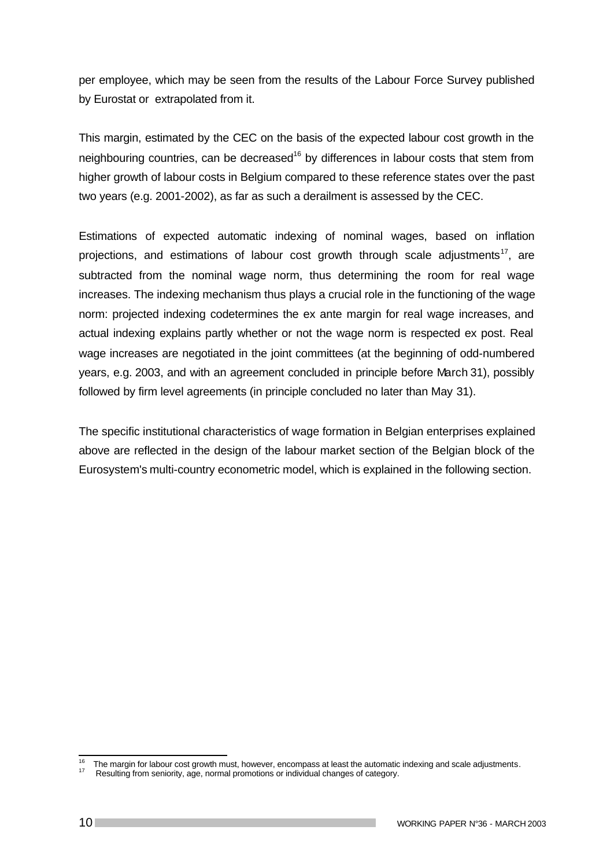per employee, which may be seen from the results of the Labour Force Survey published by Eurostat or extrapolated from it.

This margin, estimated by the CEC on the basis of the expected labour cost growth in the neighbouring countries, can be decreased<sup>16</sup> by differences in labour costs that stem from higher growth of labour costs in Belgium compared to these reference states over the past two years (e.g. 2001-2002), as far as such a derailment is assessed by the CEC.

Estimations of expected automatic indexing of nominal wages, based on inflation projections, and estimations of labour cost growth through scale adjustments<sup>17</sup>, are subtracted from the nominal wage norm, thus determining the room for real wage increases. The indexing mechanism thus plays a crucial role in the functioning of the wage norm: projected indexing codetermines the ex ante margin for real wage increases, and actual indexing explains partly whether or not the wage norm is respected ex post. Real wage increases are negotiated in the joint committees (at the beginning of odd-numbered years, e.g. 2003, and with an agreement concluded in principle before March 31), possibly followed by firm level agreements (in principle concluded no later than May 31).

The specific institutional characteristics of wage formation in Belgian enterprises explained above are reflected in the design of the labour market section of the Belgian block of the Eurosystem's multi-country econometric model, which is explained in the following section.

l

<sup>&</sup>lt;sup>16</sup> The margin for labour cost growth must, however, encompass at least the automatic indexing and scale adjustments.<br><sup>17</sup> Pepulting from epoietive age, permel premations or individual changes of estaceny.

Resulting from seniority, age, normal promotions or individual changes of category.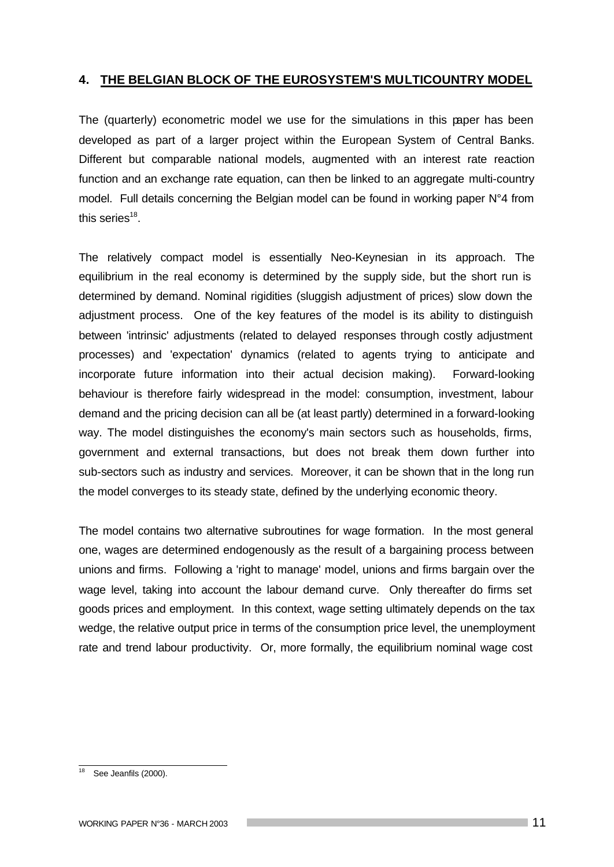# **4. THE BELGIAN BLOCK OF THE EUROSYSTEM'S MULTICOUNTRY MODEL**

The (quarterly) econometric model we use for the simulations in this paper has been developed as part of a larger project within the European System of Central Banks. Different but comparable national models, augmented with an interest rate reaction function and an exchange rate equation, can then be linked to an aggregate multi-country model. Full details concerning the Belgian model can be found in working paper N°4 from this series $^{18}$ .

The relatively compact model is essentially Neo-Keynesian in its approach. The equilibrium in the real economy is determined by the supply side, but the short run is determined by demand. Nominal rigidities (sluggish adjustment of prices) slow down the adjustment process. One of the key features of the model is its ability to distinguish between 'intrinsic' adjustments (related to delayed responses through costly adjustment processes) and 'expectation' dynamics (related to agents trying to anticipate and incorporate future information into their actual decision making). Forward-looking behaviour is therefore fairly widespread in the model: consumption, investment, labour demand and the pricing decision can all be (at least partly) determined in a forward-looking way. The model distinguishes the economy's main sectors such as households, firms, government and external transactions, but does not break them down further into sub-sectors such as industry and services. Moreover, it can be shown that in the long run the model converges to its steady state, defined by the underlying economic theory.

The model contains two alternative subroutines for wage formation. In the most general one, wages are determined endogenously as the result of a bargaining process between unions and firms. Following a 'right to manage' model, unions and firms bargain over the wage level, taking into account the labour demand curve. Only thereafter do firms set goods prices and employment. In this context, wage setting ultimately depends on the tax wedge, the relative output price in terms of the consumption price level, the unemployment rate and trend labour productivity. Or, more formally, the equilibrium nominal wage cost

l  $18$  See Jeanfils (2000).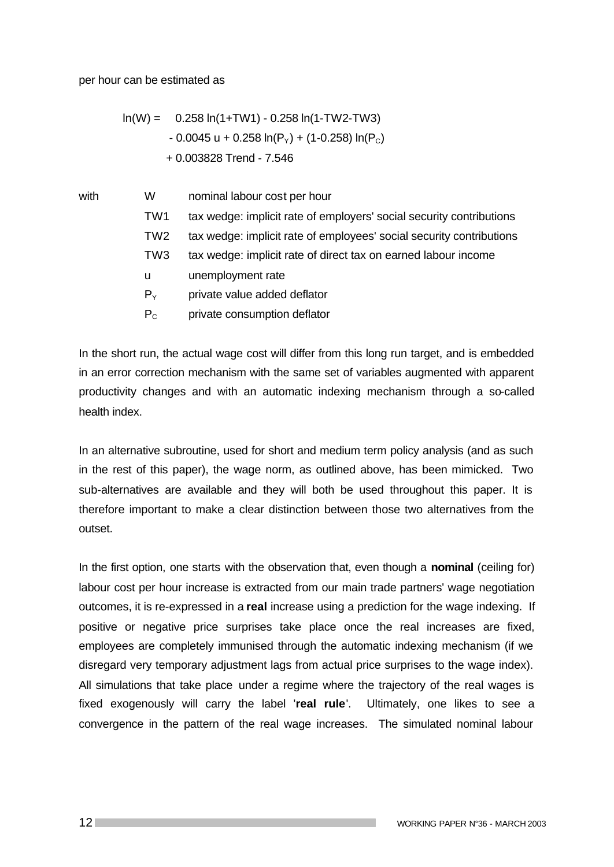### per hour can be estimated as

$$
\ln(W) = 0.258 \ln(1+TW1) - 0.258 \ln(1-W2-W3) - 0.0045 u + 0.258 \ln(P_{\gamma}) + (1-0.258) \ln(P_{\text{c}}) + 0.003828 \text{ Trend} - 7.546
$$

with W nominal labour cost per hour

- TW1 tax wedge: implicit rate of employers' social security contributions
- TW2 tax wedge: implicit rate of employees' social security contributions
- TW3 tax wedge: implicit rate of direct tax on earned labour income
- u unemployment rate
- $P_Y$  private value added deflator
- P<sub>C</sub> private consumption deflator

In the short run, the actual wage cost will differ from this long run target, and is embedded in an error correction mechanism with the same set of variables augmented with apparent productivity changes and with an automatic indexing mechanism through a so-called health index.

In an alternative subroutine, used for short and medium term policy analysis (and as such in the rest of this paper), the wage norm, as outlined above, has been mimicked. Two sub-alternatives are available and they will both be used throughout this paper. It is therefore important to make a clear distinction between those two alternatives from the outset.

In the first option, one starts with the observation that, even though a **nominal** (ceiling for) labour cost per hour increase is extracted from our main trade partners' wage negotiation outcomes, it is re-expressed in a **real** increase using a prediction for the wage indexing. If positive or negative price surprises take place once the real increases are fixed, employees are completely immunised through the automatic indexing mechanism (if we disregard very temporary adjustment lags from actual price surprises to the wage index). All simulations that take place under a regime where the trajectory of the real wages is fixed exogenously will carry the label '**real rule**'. Ultimately, one likes to see a convergence in the pattern of the real wage increases. The simulated nominal labour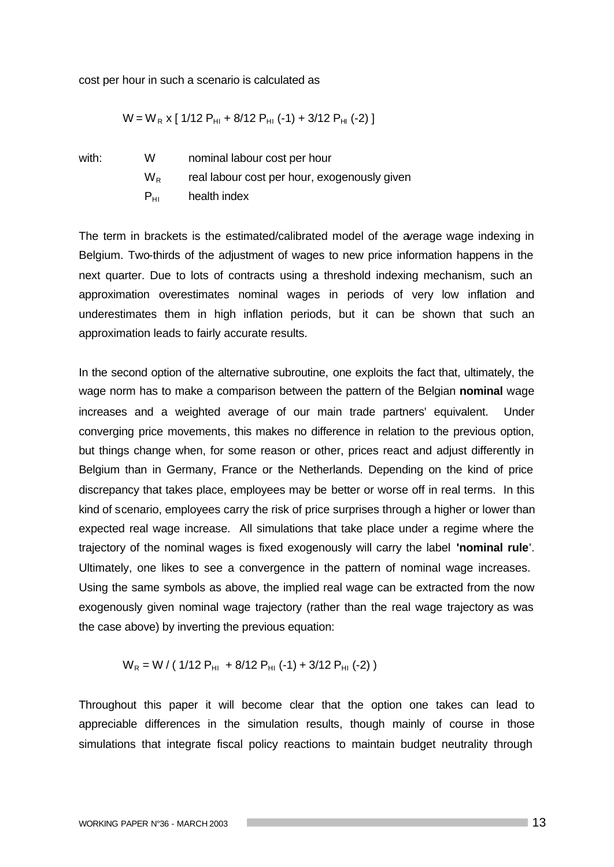cost per hour in such a scenario is calculated as

$$
W = W_R x [ 1/12 P_{H1} + 8/12 P_{H1} (-1) + 3/12 P_{H1} (-2) ]
$$

| with: | W            | nominal labour cost per hour                 |
|-------|--------------|----------------------------------------------|
|       | $W_{\rm P}$  | real labour cost per hour, exogenously given |
|       | $P_{\rm HI}$ | health index                                 |

The term in brackets is the estimated/calibrated model of the average wage indexing in Belgium. Two-thirds of the adjustment of wages to new price information happens in the next quarter. Due to lots of contracts using a threshold indexing mechanism, such an approximation overestimates nominal wages in periods of very low inflation and underestimates them in high inflation periods, but it can be shown that such an approximation leads to fairly accurate results.

In the second option of the alternative subroutine, one exploits the fact that, ultimately, the wage norm has to make a comparison between the pattern of the Belgian **nominal** wage increases and a weighted average of our main trade partners' equivalent. Under converging price movements, this makes no difference in relation to the previous option, but things change when, for some reason or other, prices react and adjust differently in Belgium than in Germany, France or the Netherlands. Depending on the kind of price discrepancy that takes place, employees may be better or worse off in real terms. In this kind of scenario, employees carry the risk of price surprises through a higher or lower than expected real wage increase. All simulations that take place under a regime where the trajectory of the nominal wages is fixed exogenously will carry the label **'nominal rule**'. Ultimately, one likes to see a convergence in the pattern of nominal wage increases. Using the same symbols as above, the implied real wage can be extracted from the now exogenously given nominal wage trajectory (rather than the real wage trajectory as was the case above) by inverting the previous equation:

$$
W_R = W / (1/12 P_{H1} + 8/12 P_{H1} (-1) + 3/12 P_{H1} (-2))
$$

Throughout this paper it will become clear that the option one takes can lead to appreciable differences in the simulation results, though mainly of course in those simulations that integrate fiscal policy reactions to maintain budget neutrality through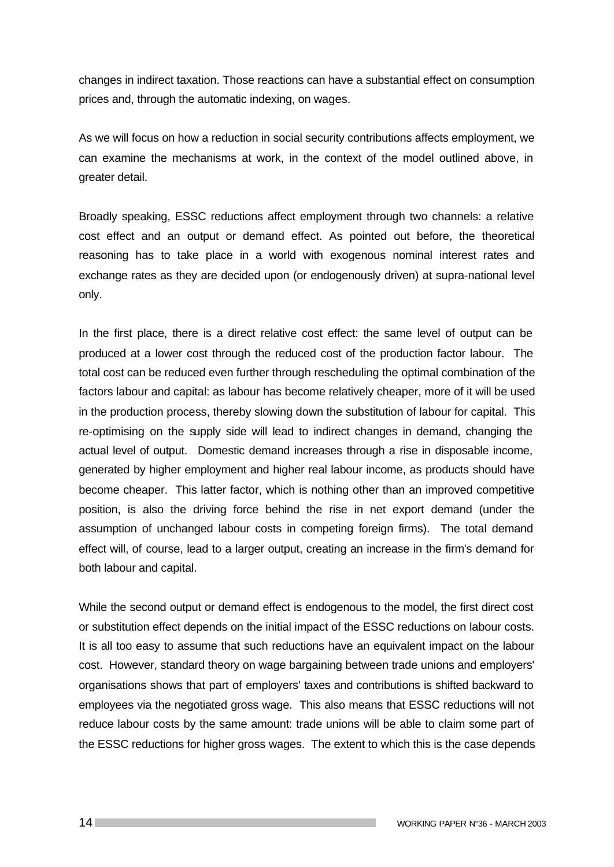changes in indirect taxation. Those reactions can have a substantial effect on consumption prices and, through the automatic indexing, on wages.

As we will focus on how a reduction in social security contributions affects employment, we can examine the mechanisms at work, in the context of the model outlined above, in greater detail.

Broadly speaking, ESSC reductions affect employment through two channels: a relative cost effect and an output or demand effect. As pointed out before, the theoretical reasoning has to take place in a world with exogenous nominal interest rates and exchange rates as they are decided upon (or endogenously driven) at supra-national level only.

In the first place, there is a direct relative cost effect: the same level of output can be produced at a lower cost through the reduced cost of the production factor labour. The total cost can be reduced even further through rescheduling the optimal combination of the factors labour and capital: as labour has become relatively cheaper, more of it will be used in the production process, thereby slowing down the substitution of labour for capital. This re-optimising on the supply side will lead to indirect changes in demand, changing the actual level of output. Domestic demand increases through a rise in disposable income, generated by higher employment and higher real labour income, as products should have become cheaper. This latter factor, which is nothing other than an improved competitive position, is also the driving force behind the rise in net export demand (under the assumption of unchanged labour costs in competing foreign firms). The total demand effect will, of course, lead to a larger output, creating an increase in the firm's demand for both labour and capital.

While the second output or demand effect is endogenous to the model, the first direct cost or substitution effect depends on the initial impact of the ESSC reductions on labour costs. It is all too easy to assume that such reductions have an equivalent impact on the labour cost. However, standard theory on wage bargaining between trade unions and employers' organisations shows that part of employers' taxes and contributions is shifted backward to employees via the negotiated gross wage. This also means that ESSC reductions will not reduce labour costs by the same amount: trade unions will be able to claim some part of the ESSC reductions for higher gross wages. The extent to which this is the case depends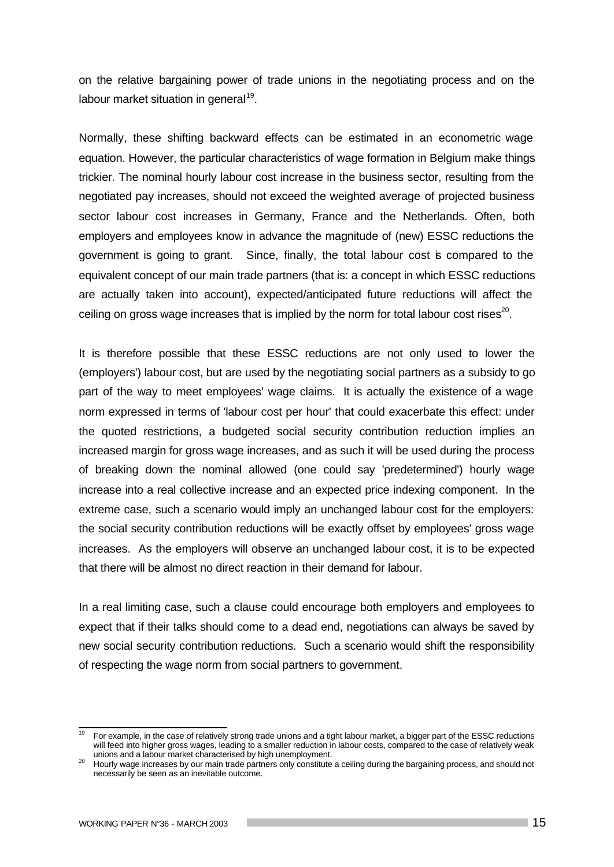on the relative bargaining power of trade unions in the negotiating process and on the labour market situation in general<sup>19</sup>.

Normally, these shifting backward effects can be estimated in an econometric wage equation. However, the particular characteristics of wage formation in Belgium make things trickier. The nominal hourly labour cost increase in the business sector, resulting from the negotiated pay increases, should not exceed the weighted average of projected business sector labour cost increases in Germany, France and the Netherlands. Often, both employers and employees know in advance the magnitude of (new) ESSC reductions the government is going to grant. Since, finally, the total labour cost is compared to the equivalent concept of our main trade partners (that is: a concept in which ESSC reductions are actually taken into account), expected/anticipated future reductions will affect the ceiling on gross wage increases that is implied by the norm for total labour cost rises<sup>20</sup>.

It is therefore possible that these ESSC reductions are not only used to lower the (employers') labour cost, but are used by the negotiating social partners as a subsidy to go part of the way to meet employees' wage claims. It is actually the existence of a wage norm expressed in terms of 'labour cost per hour' that could exacerbate this effect: under the quoted restrictions, a budgeted social security contribution reduction implies an increased margin for gross wage increases, and as such it will be used during the process of breaking down the nominal allowed (one could say 'predetermined') hourly wage increase into a real collective increase and an expected price indexing component. In the extreme case, such a scenario would imply an unchanged labour cost for the employers: the social security contribution reductions will be exactly offset by employees' gross wage increases. As the employers will observe an unchanged labour cost, it is to be expected that there will be almost no direct reaction in their demand for labour.

In a real limiting case, such a clause could encourage both employers and employees to expect that if their talks should come to a dead end, negotiations can always be saved by new social security contribution reductions. Such a scenario would shift the responsibility of respecting the wage norm from social partners to government.

l <sup>19</sup> For example, in the case of relatively strong trade unions and a tight labour market, a bigger part of the ESSC reductions will feed into higher gross wages, leading to a smaller reduction in labour costs, compared to the case of relatively weak unions and a labour market characterised by high unemployment.

<sup>&</sup>lt;sup>20</sup> Hourly wage increases by our main trade partners only constitute a ceiling during the bargaining process, and should not necessarily be seen as an inevitable outcome.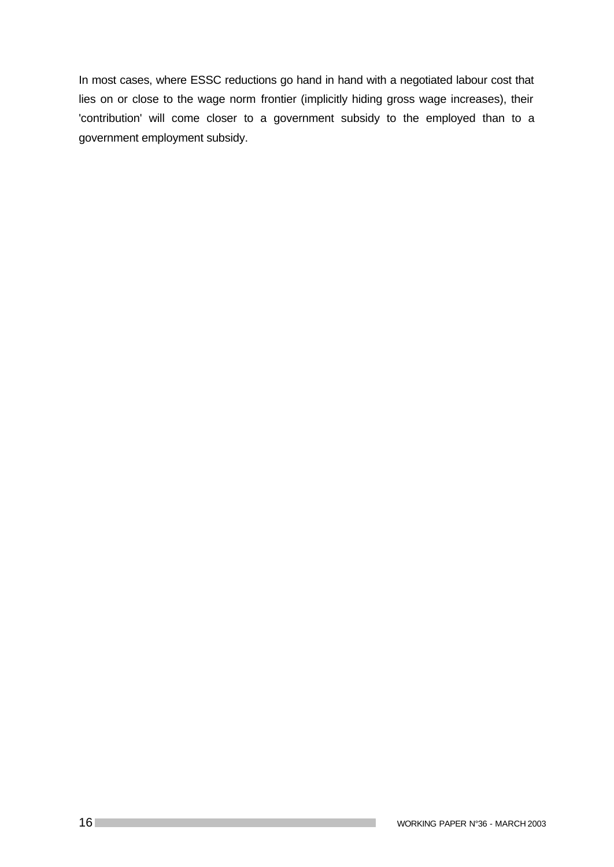In most cases, where ESSC reductions go hand in hand with a negotiated labour cost that lies on or close to the wage norm frontier (implicitly hiding gross wage increases), their 'contribution' will come closer to a government subsidy to the employed than to a government employment subsidy.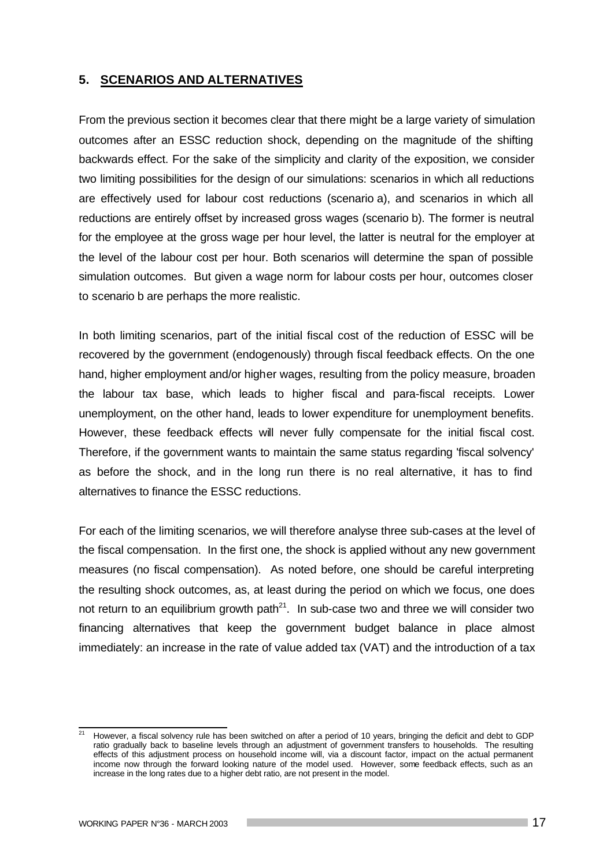# **5. SCENARIOS AND ALTERNATIVES**

From the previous section it becomes clear that there might be a large variety of simulation outcomes after an ESSC reduction shock, depending on the magnitude of the shifting backwards effect. For the sake of the simplicity and clarity of the exposition, we consider two limiting possibilities for the design of our simulations: scenarios in which all reductions are effectively used for labour cost reductions (scenario a), and scenarios in which all reductions are entirely offset by increased gross wages (scenario b). The former is neutral for the employee at the gross wage per hour level, the latter is neutral for the employer at the level of the labour cost per hour. Both scenarios will determine the span of possible simulation outcomes. But given a wage norm for labour costs per hour, outcomes closer to scenario b are perhaps the more realistic.

In both limiting scenarios, part of the initial fiscal cost of the reduction of ESSC will be recovered by the government (endogenously) through fiscal feedback effects. On the one hand, higher employment and/or higher wages, resulting from the policy measure, broaden the labour tax base, which leads to higher fiscal and para-fiscal receipts. Lower unemployment, on the other hand, leads to lower expenditure for unemployment benefits. However, these feedback effects will never fully compensate for the initial fiscal cost. Therefore, if the government wants to maintain the same status regarding 'fiscal solvency' as before the shock, and in the long run there is no real alternative, it has to find alternatives to finance the ESSC reductions.

For each of the limiting scenarios, we will therefore analyse three sub-cases at the level of the fiscal compensation. In the first one, the shock is applied without any new government measures (no fiscal compensation). As noted before, one should be careful interpreting the resulting shock outcomes, as, at least during the period on which we focus, one does not return to an equilibrium growth path<sup>21</sup>. In sub-case two and three we will consider two financing alternatives that keep the government budget balance in place almost immediately: an increase in the rate of value added tax (VAT) and the introduction of a tax

 $21$ <sup>21</sup> However, a fiscal solvency rule has been switched on after a period of 10 years, bringing the deficit and debt to GDP ratio gradually back to baseline levels through an adjustment of government transfers to households. The resulting effects of this adjustment process on household income will, via a discount factor, impact on the actual permanent income now through the forward looking nature of the model used. However, some feedback effects, such as an increase in the long rates due to a higher debt ratio, are not present in the model.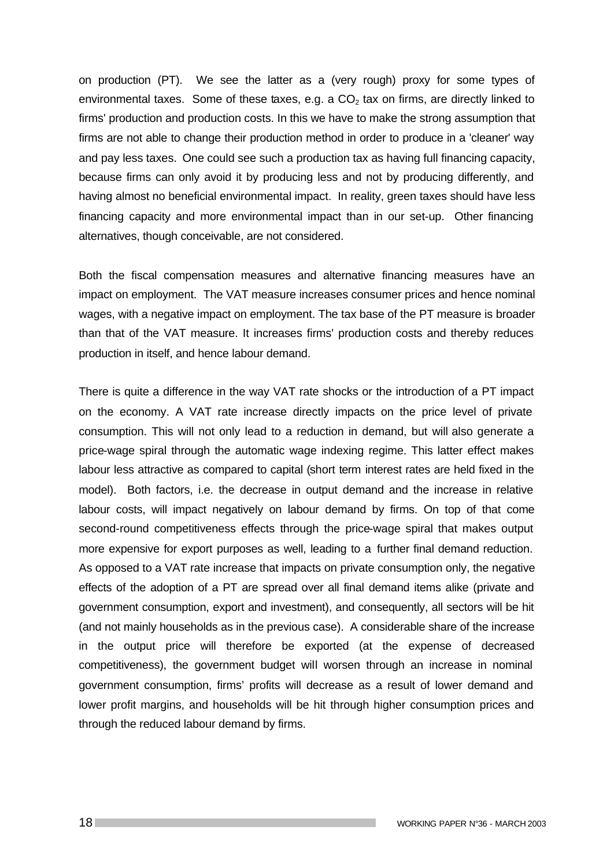on production (PT). We see the latter as a (very rough) proxy for some types of environmental taxes. Some of these taxes, e.g. a  $CO<sub>2</sub>$  tax on firms, are directly linked to firms' production and production costs. In this we have to make the strong assumption that firms are not able to change their production method in order to produce in a 'cleaner' way and pay less taxes. One could see such a production tax as having full financing capacity, because firms can only avoid it by producing less and not by producing differently, and having almost no beneficial environmental impact. In reality, green taxes should have less financing capacity and more environmental impact than in our set-up. Other financing alternatives, though conceivable, are not considered.

Both the fiscal compensation measures and alternative financing measures have an impact on employment. The VAT measure increases consumer prices and hence nominal wages, with a negative impact on employment. The tax base of the PT measure is broader than that of the VAT measure. It increases firms' production costs and thereby reduces production in itself, and hence labour demand.

There is quite a difference in the way VAT rate shocks or the introduction of a PT impact on the economy. A VAT rate increase directly impacts on the price level of private consumption. This will not only lead to a reduction in demand, but will also generate a price-wage spiral through the automatic wage indexing regime. This latter effect makes labour less attractive as compared to capital (short term interest rates are held fixed in the model). Both factors, i.e. the decrease in output demand and the increase in relative labour costs, will impact negatively on labour demand by firms. On top of that come second-round competitiveness effects through the price-wage spiral that makes output more expensive for export purposes as well, leading to a further final demand reduction. As opposed to a VAT rate increase that impacts on private consumption only, the negative effects of the adoption of a PT are spread over all final demand items alike (private and government consumption, export and investment), and consequently, all sectors will be hit (and not mainly households as in the previous case). A considerable share of the increase in the output price will therefore be exported (at the expense of decreased competitiveness), the government budget will worsen through an increase in nominal government consumption, firms' profits will decrease as a result of lower demand and lower profit margins, and households will be hit through higher consumption prices and through the reduced labour demand by firms.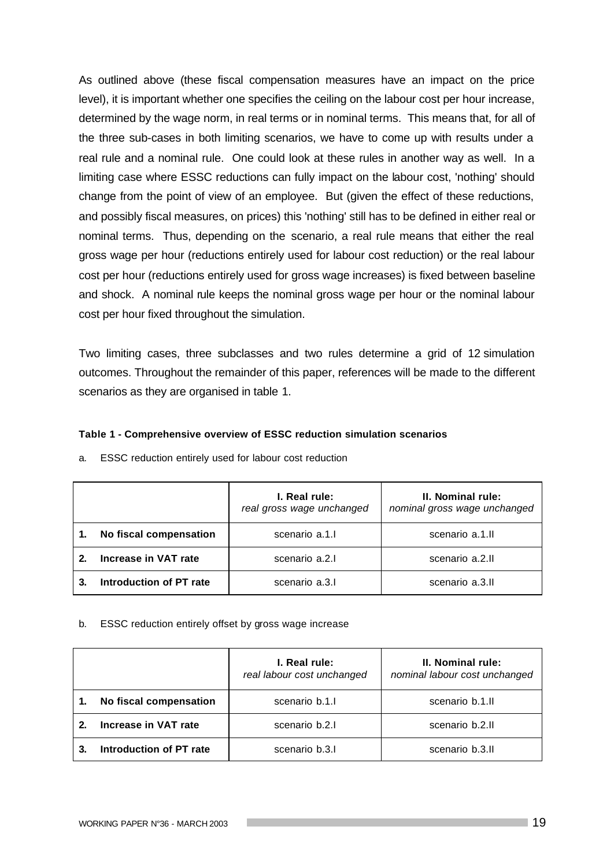As outlined above (these fiscal compensation measures have an impact on the price level), it is important whether one specifies the ceiling on the labour cost per hour increase, determined by the wage norm, in real terms or in nominal terms. This means that, for all of the three sub-cases in both limiting scenarios, we have to come up with results under a real rule and a nominal rule. One could look at these rules in another way as well. In a limiting case where ESSC reductions can fully impact on the labour cost, 'nothing' should change from the point of view of an employee. But (given the effect of these reductions, and possibly fiscal measures, on prices) this 'nothing' still has to be defined in either real or nominal terms. Thus, depending on the scenario, a real rule means that either the real gross wage per hour (reductions entirely used for labour cost reduction) or the real labour cost per hour (reductions entirely used for gross wage increases) is fixed between baseline and shock. A nominal rule keeps the nominal gross wage per hour or the nominal labour cost per hour fixed throughout the simulation.

Two limiting cases, three subclasses and two rules determine a grid of 12 simulation outcomes. Throughout the remainder of this paper, references will be made to the different scenarios as they are organised in table 1.

### **Table 1 - Comprehensive overview of ESSC reduction simulation scenarios**

|                         | I. Real rule:<br>real gross wage unchanged | II. Nominal rule:<br>nominal gross wage unchanged |
|-------------------------|--------------------------------------------|---------------------------------------------------|
| No fiscal compensation  | scenario a.1.                              | scenario a.1.II                                   |
| Increase in VAT rate    | scenario a.2.                              | scenario a.2.II                                   |
| Introduction of PT rate | scenario a.3.                              | scenario a.3.II                                   |

a. ESSC reduction entirely used for labour cost reduction

#### b. ESSC reduction entirely offset by gross wage increase

|              |                         | I. Real rule:<br>real labour cost unchanged | II. Nominal rule:<br>nominal labour cost unchanged |
|--------------|-------------------------|---------------------------------------------|----------------------------------------------------|
|              | No fiscal compensation  | scenario b.1.                               | scenario b.1.II                                    |
| $\mathbf{p}$ | Increase in VAT rate    | scenario b.2.I                              | scenario b.2.II                                    |
|              | Introduction of PT rate | scenario b.3.I                              | scenario b.3.II                                    |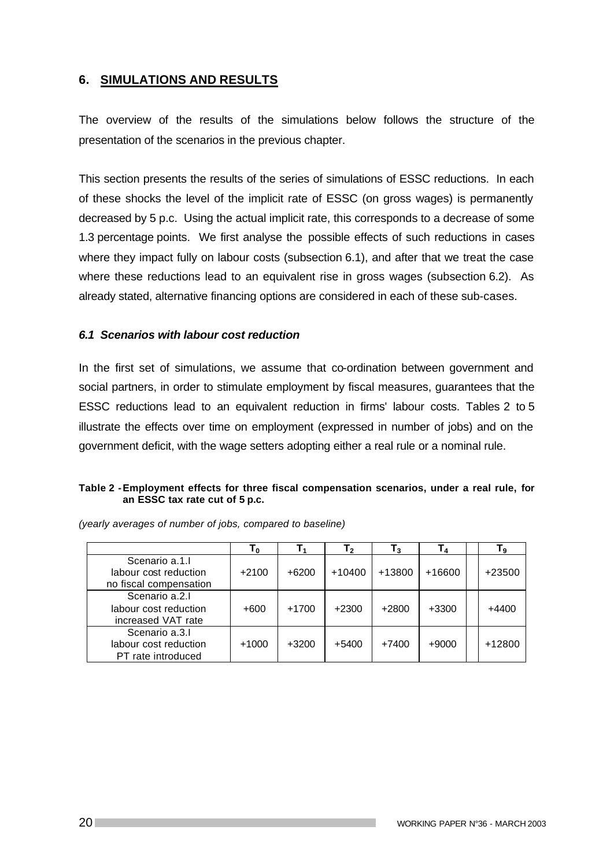# **6. SIMULATIONS AND RESULTS**

The overview of the results of the simulations below follows the structure of the presentation of the scenarios in the previous chapter.

This section presents the results of the series of simulations of ESSC reductions. In each of these shocks the level of the implicit rate of ESSC (on gross wages) is permanently decreased by 5 p.c. Using the actual implicit rate, this corresponds to a decrease of some 1.3 percentage points. We first analyse the possible effects of such reductions in cases where they impact fully on labour costs (subsection 6.1), and after that we treat the case where these reductions lead to an equivalent rise in gross wages (subsection 6.2). As already stated, alternative financing options are considered in each of these sub-cases.

# *6.1 Scenarios with labour cost reduction*

In the first set of simulations, we assume that co-ordination between government and social partners, in order to stimulate employment by fiscal measures, guarantees that the ESSC reductions lead to an equivalent reduction in firms' labour costs. Tables 2 to 5 illustrate the effects over time on employment (expressed in number of jobs) and on the government deficit, with the wage setters adopting either a real rule or a nominal rule.

#### **Table 2 -Employment effects for three fiscal compensation scenarios, under a real rule, for an ESSC tax rate cut of 5 p.c.**

|                                                                  | $T_0$   |         | $\mathsf{T}_2$ | $T_3$   | $T_{4}$ | T9     |
|------------------------------------------------------------------|---------|---------|----------------|---------|---------|--------|
| Scenario a.1.<br>labour cost reduction<br>no fiscal compensation | $+2100$ | $+6200$ | $+10400$       | +13800  | +16600  | +23500 |
| Scenario a.2.1<br>labour cost reduction<br>increased VAT rate    | $+600$  | $+1700$ | $+2300$        | $+2800$ | +3300   | +4400  |
| Scenario a.3.I<br>labour cost reduction<br>PT rate introduced    | $+1000$ | $+3200$ | $+5400$        | $+7400$ | $+9000$ | +12800 |

*(yearly averages of number of jobs, compared to baseline)*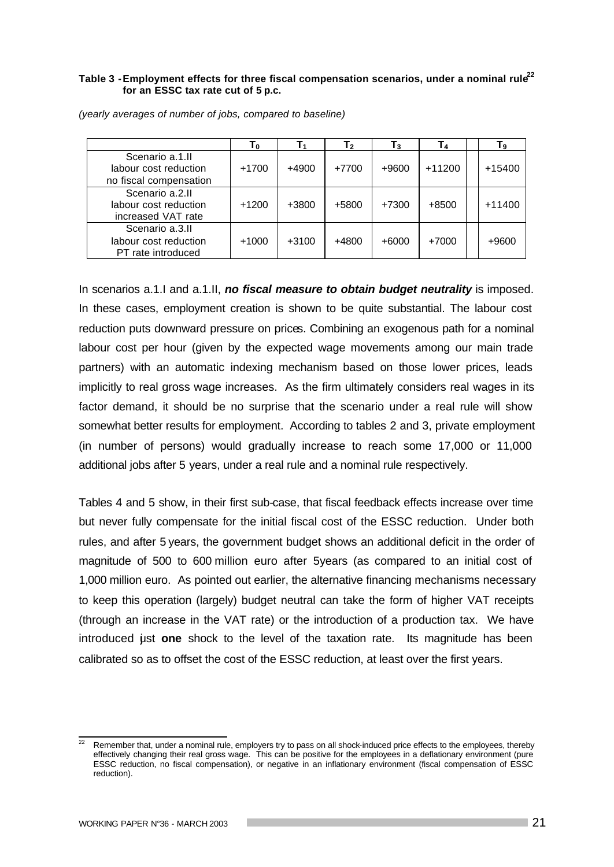#### **Table 3 -Employment effects for three fiscal compensation scenarios, under a nominal rule<sup>22</sup> for an ESSC tax rate cut of 5 p.c.**

|                                                                    | $T_0$   | $T_{1}$ | Τ,    | $T_3$   | $T_4$    | $T_9$    |
|--------------------------------------------------------------------|---------|---------|-------|---------|----------|----------|
| Scenario a.1.II<br>labour cost reduction<br>no fiscal compensation | $+1700$ | +4900   | +7700 | +9600   | $+11200$ | $+15400$ |
| Scenario a.2.II<br>labour cost reduction<br>increased VAT rate     | $+1200$ | $+3800$ | +5800 | +7300   | +8500    | $+11400$ |
| Scenario a.3.II<br>labour cost reduction<br>PT rate introduced     | $+1000$ | $+3100$ | +4800 | $+6000$ | +7000    | +9600    |

*(yearly averages of number of jobs, compared to baseline)*

In scenarios a.1.I and a.1.II, *no fiscal measure to obtain budget neutrality* is imposed. In these cases, employment creation is shown to be quite substantial. The labour cost reduction puts downward pressure on prices. Combining an exogenous path for a nominal labour cost per hour (given by the expected wage movements among our main trade partners) with an automatic indexing mechanism based on those lower prices, leads implicitly to real gross wage increases. As the firm ultimately considers real wages in its factor demand, it should be no surprise that the scenario under a real rule will show somewhat better results for employment. According to tables 2 and 3, private employment (in number of persons) would gradually increase to reach some 17,000 or 11,000 additional jobs after 5 years, under a real rule and a nominal rule respectively.

Tables 4 and 5 show, in their first sub-case, that fiscal feedback effects increase over time but never fully compensate for the initial fiscal cost of the ESSC reduction. Under both rules, and after 5 years, the government budget shows an additional deficit in the order of magnitude of 500 to 600 million euro after 5years (as compared to an initial cost of 1,000 million euro. As pointed out earlier, the alternative financing mechanisms necessary to keep this operation (largely) budget neutral can take the form of higher VAT receipts (through an increase in the VAT rate) or the introduction of a production tax. We have introduced just **one** shock to the level of the taxation rate. Its magnitude has been calibrated so as to offset the cost of the ESSC reduction, at least over the first years.

 $22$ <sup>22</sup> Remember that, under a nominal rule, employers try to pass on all shock-induced price effects to the employees, thereby effectively changing their real gross wage. This can be positive for the employees in a deflationary environment (pure ESSC reduction, no fiscal compensation), or negative in an inflationary environment (fiscal compensation of ESSC reduction).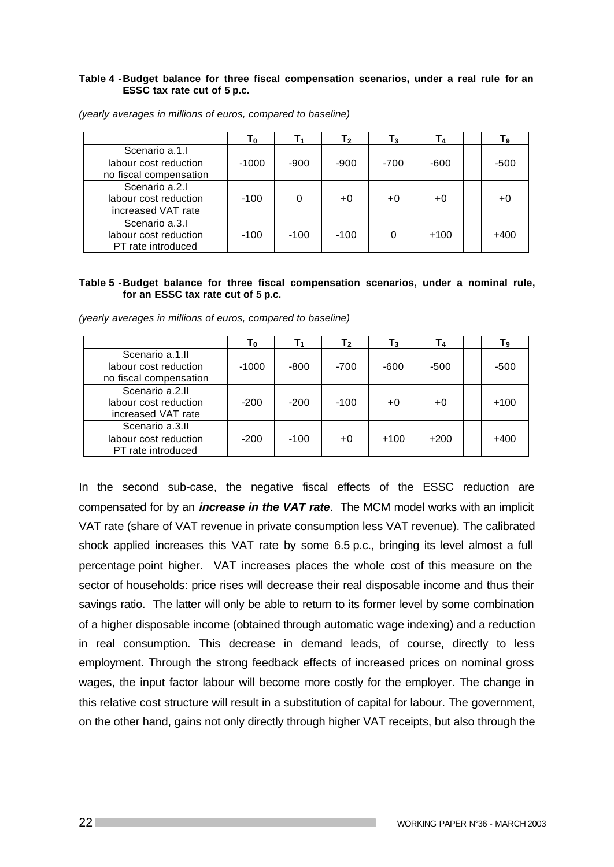#### **Table 4 -Budget balance for three fiscal compensation scenarios, under a real rule for an ESSC tax rate cut of 5 p.c.**

|                                                                  | Τ0      |        | Т,     | $T_3$  | IΔ     |        |
|------------------------------------------------------------------|---------|--------|--------|--------|--------|--------|
| Scenario a.1.<br>labour cost reduction<br>no fiscal compensation | $-1000$ | $-900$ | $-900$ | $-700$ | $-600$ | -500   |
| Scenario a.2.1<br>labour cost reduction<br>increased VAT rate    | $-100$  | 0      | $+0$   | $+0$   | $+0$   | $+0$   |
| Scenario a.3.I<br>labour cost reduction<br>PT rate introduced    | $-100$  | $-100$ | $-100$ | 0      | $+100$ | $+400$ |

*(yearly averages in millions of euros, compared to baseline)*

#### **Table 5 -Budget balance for three fiscal compensation scenarios, under a nominal rule, for an ESSC tax rate cut of 5 p.c.**

|                                                                    | Τ0      | Т۱     | Τ2     | $\mathsf{T}_3$ | T4     | Тg     |
|--------------------------------------------------------------------|---------|--------|--------|----------------|--------|--------|
| Scenario a.1.II<br>labour cost reduction<br>no fiscal compensation | $-1000$ | $-800$ | $-700$ | $-600$         | $-500$ | $-500$ |
| Scenario a.2.II<br>labour cost reduction<br>increased VAT rate     | $-200$  | $-200$ | $-100$ | $+0$           | +0     | $+100$ |
| Scenario a.3.II<br>labour cost reduction<br>PT rate introduced     | $-200$  | $-100$ | $+0$   | $+100$         | $+200$ | $+400$ |

*(yearly averages in millions of euros, compared to baseline)*

In the second sub-case, the negative fiscal effects of the ESSC reduction are compensated for by an *increase in the VAT rate*. The MCM model works with an implicit VAT rate (share of VAT revenue in private consumption less VAT revenue). The calibrated shock applied increases this VAT rate by some 6.5 p.c., bringing its level almost a full percentage point higher. VAT increases places the whole cost of this measure on the sector of households: price rises will decrease their real disposable income and thus their savings ratio. The latter will only be able to return to its former level by some combination of a higher disposable income (obtained through automatic wage indexing) and a reduction in real consumption. This decrease in demand leads, of course, directly to less employment. Through the strong feedback effects of increased prices on nominal gross wages, the input factor labour will become more costly for the employer. The change in this relative cost structure will result in a substitution of capital for labour. The government, on the other hand, gains not only directly through higher VAT receipts, but also through the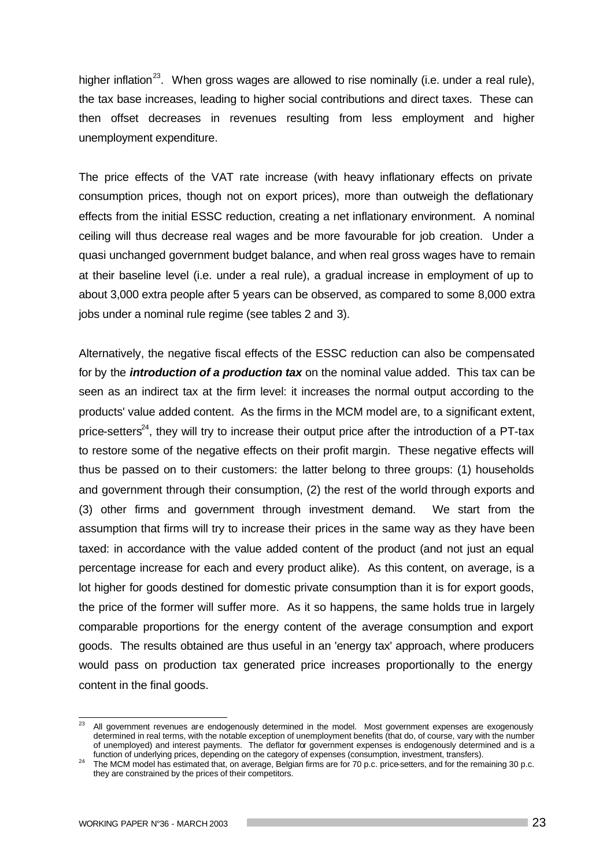higher inflation<sup>23</sup>. When gross wages are allowed to rise nominally (i.e. under a real rule), the tax base increases, leading to higher social contributions and direct taxes. These can then offset decreases in revenues resulting from less employment and higher unemployment expenditure.

The price effects of the VAT rate increase (with heavy inflationary effects on private consumption prices, though not on export prices), more than outweigh the deflationary effects from the initial ESSC reduction, creating a net inflationary environment. A nominal ceiling will thus decrease real wages and be more favourable for job creation. Under a quasi unchanged government budget balance, and when real gross wages have to remain at their baseline level (i.e. under a real rule), a gradual increase in employment of up to about 3,000 extra people after 5 years can be observed, as compared to some 8,000 extra jobs under a nominal rule regime (see tables 2 and 3).

Alternatively, the negative fiscal effects of the ESSC reduction can also be compensated for by the *introduction of a production tax* on the nominal value added. This tax can be seen as an indirect tax at the firm level: it increases the normal output according to the products' value added content. As the firms in the MCM model are, to a significant extent, price-setters<sup>24</sup>, they will try to increase their output price after the introduction of a PT-tax to restore some of the negative effects on their profit margin. These negative effects will thus be passed on to their customers: the latter belong to three groups: (1) households and government through their consumption, (2) the rest of the world through exports and (3) other firms and government through investment demand. We start from the assumption that firms will try to increase their prices in the same way as they have been taxed: in accordance with the value added content of the product (and not just an equal percentage increase for each and every product alike). As this content, on average, is a lot higher for goods destined for domestic private consumption than it is for export goods, the price of the former will suffer more. As it so happens, the same holds true in largely comparable proportions for the energy content of the average consumption and export goods. The results obtained are thus useful in an 'energy tax' approach, where producers would pass on production tax generated price increases proportionally to the energy content in the final goods.

<sup>23</sup> All government revenues are endogenously determined in the model. Most government expenses are exogenously determined in real terms, with the notable exception of unemployment benefits (that do, of course, vary with the number of unemployed) and interest payments. The deflator for government expenses is endogenously determined and is a function of underlying prices, depending on the category of expenses (consumption, investment, transfers).

<sup>&</sup>lt;sup>24</sup> The MCM model has estimated that, on average, Belgian firms are for 70 p.c. price-setters, and for the remaining 30 p.c. they are constrained by the prices of their competitors.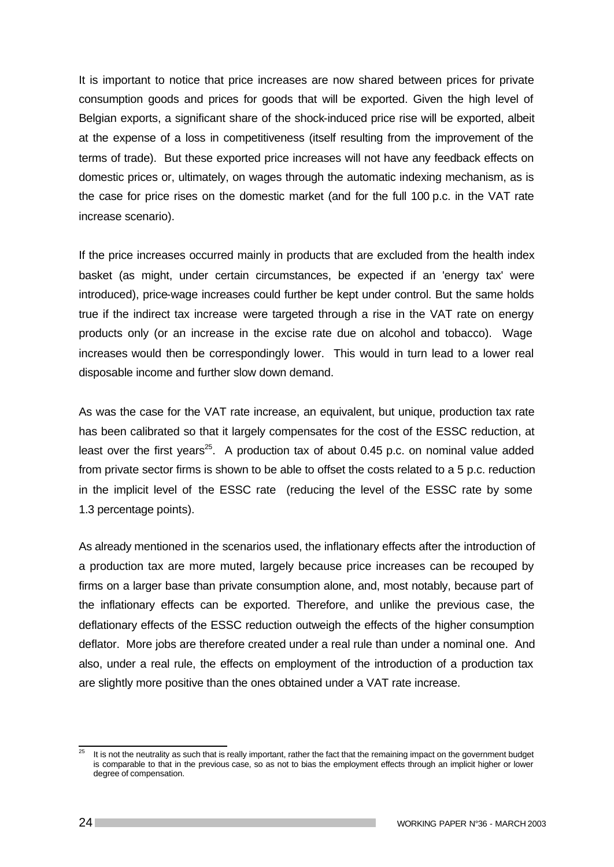It is important to notice that price increases are now shared between prices for private consumption goods and prices for goods that will be exported. Given the high level of Belgian exports, a significant share of the shock-induced price rise will be exported, albeit at the expense of a loss in competitiveness (itself resulting from the improvement of the terms of trade). But these exported price increases will not have any feedback effects on domestic prices or, ultimately, on wages through the automatic indexing mechanism, as is the case for price rises on the domestic market (and for the full 100 p.c. in the VAT rate increase scenario).

If the price increases occurred mainly in products that are excluded from the health index basket (as might, under certain circumstances, be expected if an 'energy tax' were introduced), price-wage increases could further be kept under control. But the same holds true if the indirect tax increase were targeted through a rise in the VAT rate on energy products only (or an increase in the excise rate due on alcohol and tobacco). Wage increases would then be correspondingly lower. This would in turn lead to a lower real disposable income and further slow down demand.

As was the case for the VAT rate increase, an equivalent, but unique, production tax rate has been calibrated so that it largely compensates for the cost of the ESSC reduction, at least over the first years<sup>25</sup>. A production tax of about  $0.45$  p.c. on nominal value added from private sector firms is shown to be able to offset the costs related to a 5 p.c. reduction in the implicit level of the ESSC rate (reducing the level of the ESSC rate by some 1.3 percentage points).

As already mentioned in the scenarios used, the inflationary effects after the introduction of a production tax are more muted, largely because price increases can be recouped by firms on a larger base than private consumption alone, and, most notably, because part of the inflationary effects can be exported. Therefore, and unlike the previous case, the deflationary effects of the ESSC reduction outweigh the effects of the higher consumption deflator. More jobs are therefore created under a real rule than under a nominal one. And also, under a real rule, the effects on employment of the introduction of a production tax are slightly more positive than the ones obtained under a VAT rate increase.

l It is not the neutrality as such that is really important, rather the fact that the remaining impact on the government budget is comparable to that in the previous case, so as not to bias the employment effects through an implicit higher or lower degree of compensation.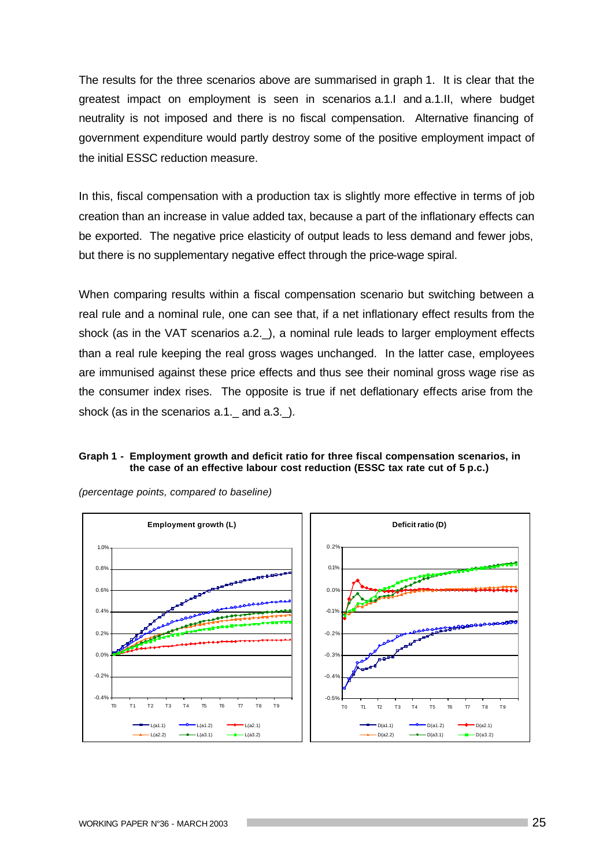The results for the three scenarios above are summarised in graph 1. It is clear that the greatest impact on employment is seen in scenarios a.1.I and a.1.II, where budget neutrality is not imposed and there is no fiscal compensation. Alternative financing of government expenditure would partly destroy some of the positive employment impact of the initial ESSC reduction measure.

In this, fiscal compensation with a production tax is slightly more effective in terms of job creation than an increase in value added tax, because a part of the inflationary effects can be exported. The negative price elasticity of output leads to less demand and fewer jobs, but there is no supplementary negative effect through the price-wage spiral.

When comparing results within a fiscal compensation scenario but switching between a real rule and a nominal rule, one can see that, if a net inflationary effect results from the shock (as in the VAT scenarios a.2.\_), a nominal rule leads to larger employment effects than a real rule keeping the real gross wages unchanged. In the latter case, employees are immunised against these price effects and thus see their nominal gross wage rise as the consumer index rises. The opposite is true if net deflationary effects arise from the shock (as in the scenarios a.1. and a.3.).

#### **Graph 1 - Employment growth and deficit ratio for three fiscal compensation scenarios, in the case of an effective labour cost reduction (ESSC tax rate cut of 5 p.c.)**



*(percentage points, compared to baseline)*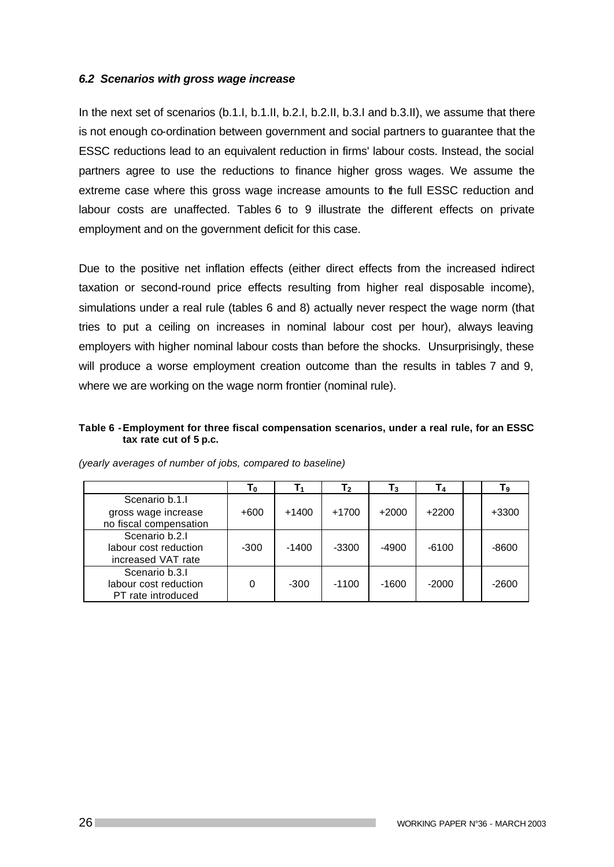### *6.2 Scenarios with gross wage increase*

In the next set of scenarios (b.1.I, b.1.II, b.2.I, b.2.II, b.3.I and b.3.II), we assume that there is not enough co-ordination between government and social partners to guarantee that the ESSC reductions lead to an equivalent reduction in firms' labour costs. Instead, the social partners agree to use the reductions to finance higher gross wages. We assume the extreme case where this gross wage increase amounts to the full ESSC reduction and labour costs are unaffected. Tables 6 to 9 illustrate the different effects on private employment and on the government deficit for this case.

Due to the positive net inflation effects (either direct effects from the increased indirect taxation or second-round price effects resulting from higher real disposable income), simulations under a real rule (tables 6 and 8) actually never respect the wage norm (that tries to put a ceiling on increases in nominal labour cost per hour), always leaving employers with higher nominal labour costs than before the shocks. Unsurprisingly, these will produce a worse employment creation outcome than the results in tables 7 and 9, where we are working on the wage norm frontier (nominal rule).

#### **Table 6 -Employment for three fiscal compensation scenarios, under a real rule, for an ESSC tax rate cut of 5 p.c.**

|                                                                | T <sub>0</sub> | T۱      | $\mathsf{T}_2$ | ${\sf T}_3$ | T4      | l 9     |
|----------------------------------------------------------------|----------------|---------|----------------|-------------|---------|---------|
| Scenario b.1.<br>gross wage increase<br>no fiscal compensation | $+600$         | $+1400$ | $+1700$        | $+2000$     | $+2200$ | +3300   |
| Scenario b.2.I<br>labour cost reduction<br>increased VAT rate  | $-300$         | $-1400$ | $-3300$        | $-4900$     | $-6100$ | -8600   |
| Scenario b.3.I<br>labour cost reduction<br>PT rate introduced  | 0              | $-300$  | $-1100$        | $-1600$     | $-2000$ | $-2600$ |

*(yearly averages of number of jobs, compared to baseline)*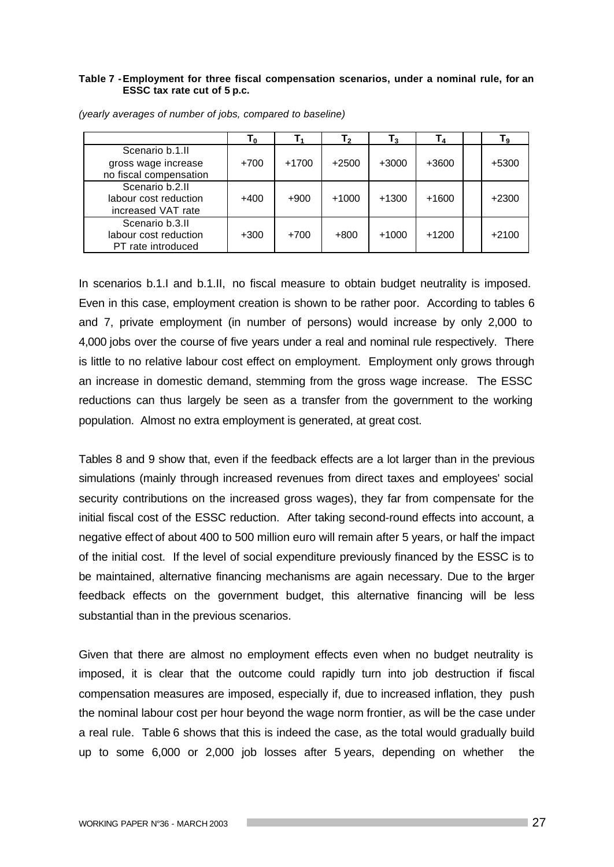#### **Table 7 -Employment for three fiscal compensation scenarios, under a nominal rule, for an ESSC tax rate cut of 5 p.c.**

|                                                                  | Τ <sub>0</sub> | T4     | $\mathsf{T}_2$ | ${\sf T}_3$ | T4      | Тg      |
|------------------------------------------------------------------|----------------|--------|----------------|-------------|---------|---------|
| Scenario b.1.II<br>gross wage increase<br>no fiscal compensation | $+700$         | +1700  | $+2500$        | $+3000$     | +3600   | $+5300$ |
| Scenario b.2.II<br>labour cost reduction<br>increased VAT rate   | $+400$         | $+900$ | $+1000$        | $+1300$     | $+1600$ | $+2300$ |
| Scenario b.3.II<br>labour cost reduction<br>PT rate introduced   | $+300$         | $+700$ | $+800$         | $+1000$     | $+1200$ | $+2100$ |

*(yearly averages of number of jobs, compared to baseline)*

In scenarios b.1.I and b.1.II, no fiscal measure to obtain budget neutrality is imposed. Even in this case, employment creation is shown to be rather poor. According to tables 6 and 7, private employment (in number of persons) would increase by only 2,000 to 4,000 jobs over the course of five years under a real and nominal rule respectively. There is little to no relative labour cost effect on employment. Employment only grows through an increase in domestic demand, stemming from the gross wage increase. The ESSC reductions can thus largely be seen as a transfer from the government to the working population. Almost no extra employment is generated, at great cost.

Tables 8 and 9 show that, even if the feedback effects are a lot larger than in the previous simulations (mainly through increased revenues from direct taxes and employees' social security contributions on the increased gross wages), they far from compensate for the initial fiscal cost of the ESSC reduction. After taking second-round effects into account, a negative effect of about 400 to 500 million euro will remain after 5 years, or half the impact of the initial cost. If the level of social expenditure previously financed by the ESSC is to be maintained, alternative financing mechanisms are again necessary. Due to the larger feedback effects on the government budget, this alternative financing will be less substantial than in the previous scenarios.

Given that there are almost no employment effects even when no budget neutrality is imposed, it is clear that the outcome could rapidly turn into job destruction if fiscal compensation measures are imposed, especially if, due to increased inflation, they push the nominal labour cost per hour beyond the wage norm frontier, as will be the case under a real rule. Table 6 shows that this is indeed the case, as the total would gradually build up to some 6,000 or 2,000 job losses after 5 years, depending on whether the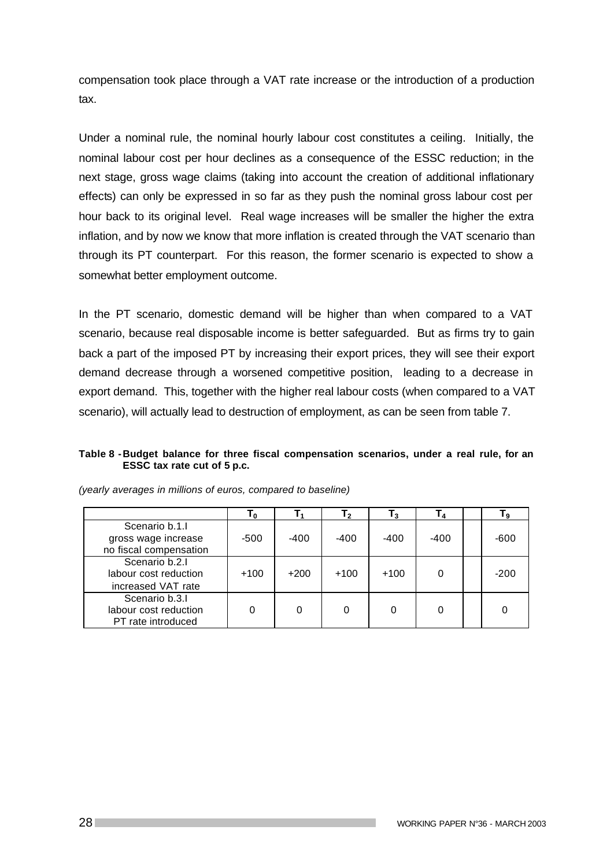compensation took place through a VAT rate increase or the introduction of a production tax.

Under a nominal rule, the nominal hourly labour cost constitutes a ceiling. Initially, the nominal labour cost per hour declines as a consequence of the ESSC reduction; in the next stage, gross wage claims (taking into account the creation of additional inflationary effects) can only be expressed in so far as they push the nominal gross labour cost per hour back to its original level. Real wage increases will be smaller the higher the extra inflation, and by now we know that more inflation is created through the VAT scenario than through its PT counterpart. For this reason, the former scenario is expected to show a somewhat better employment outcome.

In the PT scenario, domestic demand will be higher than when compared to a VAT scenario, because real disposable income is better safeguarded. But as firms try to gain back a part of the imposed PT by increasing their export prices, they will see their export demand decrease through a worsened competitive position, leading to a decrease in export demand. This, together with the higher real labour costs (when compared to a VAT scenario), will actually lead to destruction of employment, as can be seen from table 7.

#### **Table 8 -Budget balance for three fiscal compensation scenarios, under a real rule, for an ESSC tax rate cut of 5 p.c.**

|                                                                 | $T_0$  |        | Т2     | $\mathsf{T}_3$ | T4   | Ιq     |
|-----------------------------------------------------------------|--------|--------|--------|----------------|------|--------|
| Scenario b.1.I<br>gross wage increase<br>no fiscal compensation | $-500$ | $-400$ | $-400$ | $-400$         | -400 | -600   |
| Scenario b.2.I<br>labour cost reduction<br>increased VAT rate   | $+100$ | $+200$ | $+100$ | $+100$         | 0    | $-200$ |
| Scenario b.3.I<br>labour cost reduction<br>PT rate introduced   | 0      |        | 0      | 0              | 0    |        |

*(yearly averages in millions of euros, compared to baseline)*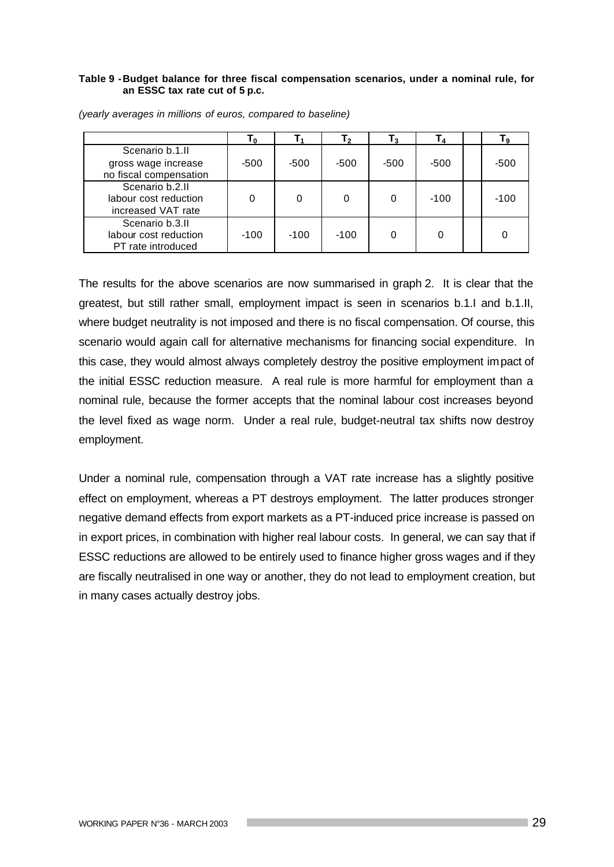#### **Table 9 -Budget balance for three fiscal compensation scenarios, under a nominal rule, for an ESSC tax rate cut of 5 p.c.**

|                                                                  | т.     | I۰     | Τ2     | $\mathsf{r}_3$ | T4     | ۹.     |
|------------------------------------------------------------------|--------|--------|--------|----------------|--------|--------|
| Scenario b.1.II<br>gross wage increase<br>no fiscal compensation | $-500$ | $-500$ | -500   | -500           | -500   | -500   |
| Scenario b.2.II<br>labour cost reduction<br>increased VAT rate   | 0      | 0      | 0      | 0              | $-100$ | $-100$ |
| Scenario b.3.II<br>labour cost reduction<br>PT rate introduced   | $-100$ | $-100$ | $-100$ |                |        |        |

*(yearly averages in millions of euros, compared to baseline)*

The results for the above scenarios are now summarised in graph 2. It is clear that the greatest, but still rather small, employment impact is seen in scenarios b.1.I and b.1.II, where budget neutrality is not imposed and there is no fiscal compensation. Of course, this scenario would again call for alternative mechanisms for financing social expenditure. In this case, they would almost always completely destroy the positive employment impact of the initial ESSC reduction measure. A real rule is more harmful for employment than a nominal rule, because the former accepts that the nominal labour cost increases beyond the level fixed as wage norm. Under a real rule, budget-neutral tax shifts now destroy employment.

Under a nominal rule, compensation through a VAT rate increase has a slightly positive effect on employment, whereas a PT destroys employment. The latter produces stronger negative demand effects from export markets as a PT-induced price increase is passed on in export prices, in combination with higher real labour costs. In general, we can say that if ESSC reductions are allowed to be entirely used to finance higher gross wages and if they are fiscally neutralised in one way or another, they do not lead to employment creation, but in many cases actually destroy jobs.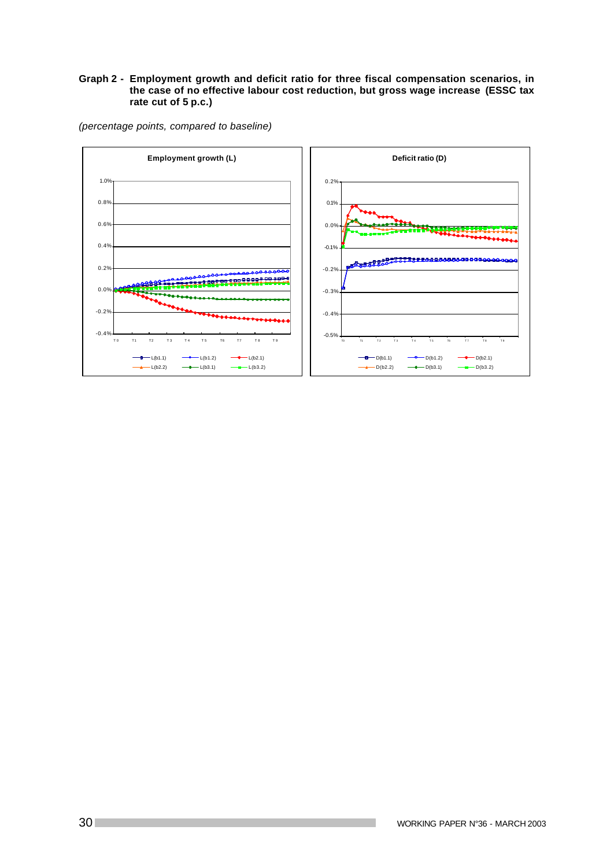#### **Graph 2 - Employment growth and deficit ratio for three fiscal compensation scenarios, in the case of no effective labour cost reduction, but gross wage increase (ESSC tax rate cut of 5 p.c.)**



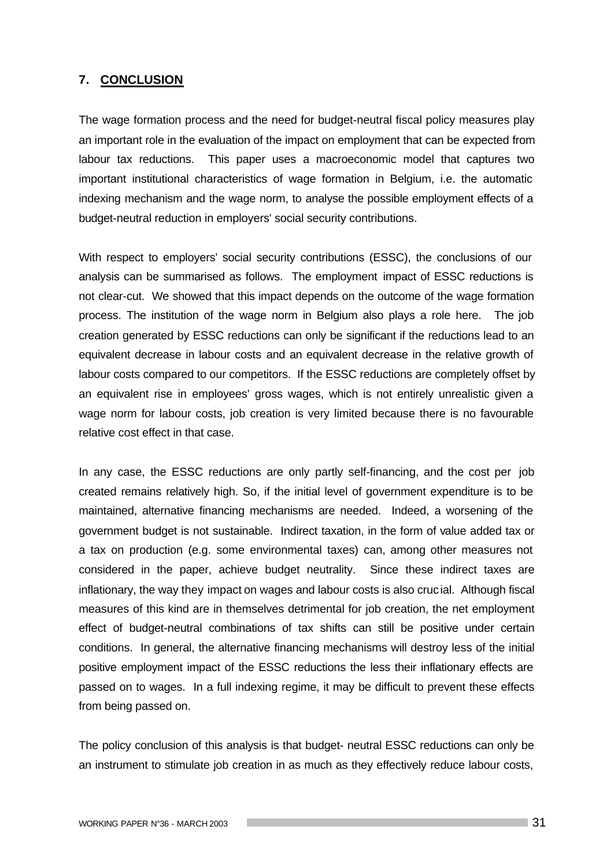# **7. CONCLUSION**

The wage formation process and the need for budget-neutral fiscal policy measures play an important role in the evaluation of the impact on employment that can be expected from labour tax reductions. This paper uses a macroeconomic model that captures two important institutional characteristics of wage formation in Belgium, i.e. the automatic indexing mechanism and the wage norm, to analyse the possible employment effects of a budget-neutral reduction in employers' social security contributions.

With respect to employers' social security contributions (ESSC), the conclusions of our analysis can be summarised as follows. The employment impact of ESSC reductions is not clear-cut. We showed that this impact depends on the outcome of the wage formation process. The institution of the wage norm in Belgium also plays a role here. The job creation generated by ESSC reductions can only be significant if the reductions lead to an equivalent decrease in labour costs and an equivalent decrease in the relative growth of labour costs compared to our competitors. If the ESSC reductions are completely offset by an equivalent rise in employees' gross wages, which is not entirely unrealistic given a wage norm for labour costs, job creation is very limited because there is no favourable relative cost effect in that case.

In any case, the ESSC reductions are only partly self-financing, and the cost per job created remains relatively high. So, if the initial level of government expenditure is to be maintained, alternative financing mechanisms are needed. Indeed, a worsening of the government budget is not sustainable. Indirect taxation, in the form of value added tax or a tax on production (e.g. some environmental taxes) can, among other measures not considered in the paper, achieve budget neutrality. Since these indirect taxes are inflationary, the way they impact on wages and labour costs is also crucial. Although fiscal measures of this kind are in themselves detrimental for job creation, the net employment effect of budget-neutral combinations of tax shifts can still be positive under certain conditions. In general, the alternative financing mechanisms will destroy less of the initial positive employment impact of the ESSC reductions the less their inflationary effects are passed on to wages. In a full indexing regime, it may be difficult to prevent these effects from being passed on.

The policy conclusion of this analysis is that budget- neutral ESSC reductions can only be an instrument to stimulate job creation in as much as they effectively reduce labour costs,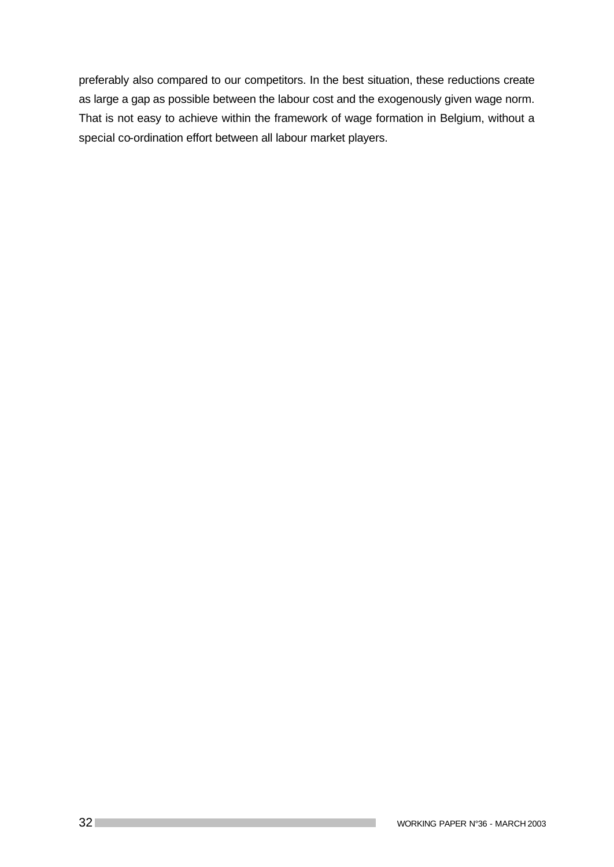preferably also compared to our competitors. In the best situation, these reductions create as large a gap as possible between the labour cost and the exogenously given wage norm. That is not easy to achieve within the framework of wage formation in Belgium, without a special co-ordination effort between all labour market players.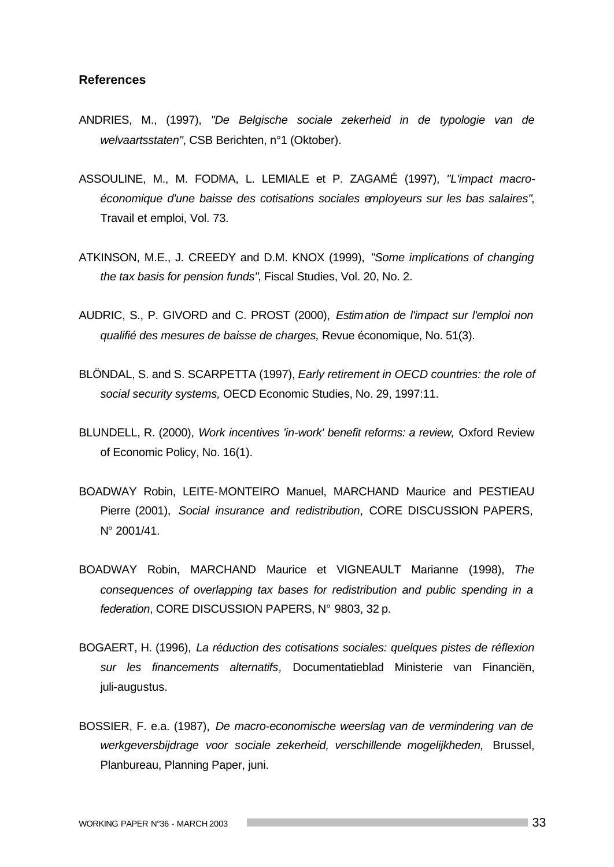#### **References**

- ANDRIES, M., (1997), *"De Belgische sociale zekerheid in de typologie van de welvaartsstaten"*, CSB Berichten, n°1 (Oktober).
- ASSOULINE, M., M. FODMA, L. LEMIALE et P. ZAGAMÉ (1997), *"L'impact macroéconomique d'une baisse des cotisations sociales employeurs sur les bas salaires"*, Travail et emploi, Vol. 73.
- ATKINSON, M.E., J. CREEDY and D.M. KNOX (1999), *"Some implications of changing the tax basis for pension funds"*, Fiscal Studies, Vol. 20, No. 2.
- AUDRIC, S., P. GIVORD and C. PROST (2000), *Estimation de l'impact sur l'emploi non qualifié des mesures de baisse de charges,* Revue économique, No. 51(3).
- BLÖNDAL, S. and S. SCARPETTA (1997), *Early retirement in OECD countries: the role of social security systems,* OECD Economic Studies, No. 29, 1997:11.
- BLUNDELL, R. (2000), *Work incentives 'in-work' benefit reforms: a review,* Oxford Review of Economic Policy, No. 16(1).
- BOADWAY Robin, LEITE-MONTEIRO Manuel, MARCHAND Maurice and PESTIEAU Pierre (2001), *Social insurance and redistribution*, CORE DISCUSSION PAPERS, N° 2001/41.
- BOADWAY Robin, MARCHAND Maurice et VIGNEAULT Marianne (1998), *The consequences of overlapping tax bases for redistribution and public spending in a federation*, CORE DISCUSSION PAPERS, N° 9803, 32 p.
- BOGAERT, H. (1996), *La réduction des cotisations sociales: quelques pistes de réflexion sur les financements alternatifs,* Documentatieblad Ministerie van Financiën, juli-augustus.
- BOSSIER, F. e.a. (1987), *De macro-economische weerslag van de vermindering van de werkgeversbijdrage voor sociale zekerheid, verschillende mogelijkheden,* Brussel, Planbureau, Planning Paper, juni.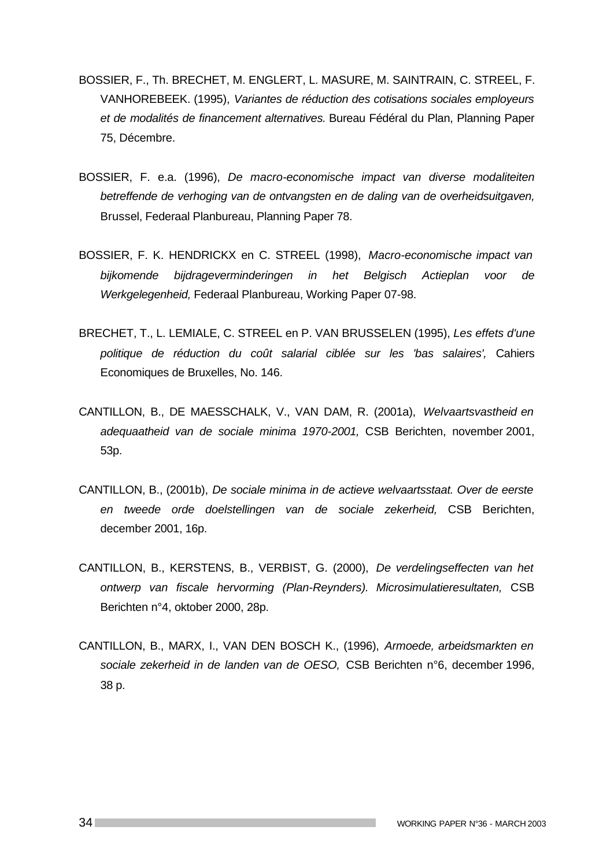- BOSSIER, F., Th. BRECHET, M. ENGLERT, L. MASURE, M. SAINTRAIN, C. STREEL, F. VANHOREBEEK. (1995), *Variantes de réduction des cotisations sociales employeurs et de modalités de financement alternatives.* Bureau Fédéral du Plan, Planning Paper 75, Décembre.
- BOSSIER, F. e.a. (1996), *De macro-economische impact van diverse modaliteiten betreffende de verhoging van de ontvangsten en de daling van de overheidsuitgaven,*  Brussel, Federaal Planbureau, Planning Paper 78.
- BOSSIER, F. K. HENDRICKX en C. STREEL (1998), *Macro-economische impact van bijkomende bijdrageverminderingen in het Belgisch Actieplan voor de Werkgelegenheid,* Federaal Planbureau, Working Paper 07-98.
- BRECHET, T., L. LEMIALE, C. STREEL en P. VAN BRUSSELEN (1995), *Les effets d'une politique de réduction du coût salarial ciblée sur les 'bas salaires',* Cahiers Economiques de Bruxelles, No. 146.
- CANTILLON, B., DE MAESSCHALK, V., VAN DAM, R. (2001a), *Welvaartsvastheid en adequaatheid van de sociale minima 1970-2001,* CSB Berichten, november 2001, 53p.
- CANTILLON, B., (2001b), *De sociale minima in de actieve welvaartsstaat. Over de eerste en tweede orde doelstellingen van de sociale zekerheid,* CSB Berichten, december 2001, 16p.
- CANTILLON, B., KERSTENS, B., VERBIST, G. (2000), *De verdelingseffecten van het ontwerp van fiscale hervorming (Plan-Reynders). Microsimulatieresultaten,* CSB Berichten n°4, oktober 2000, 28p.
- CANTILLON, B., MARX, I., VAN DEN BOSCH K., (1996), *Armoede, arbeidsmarkten en sociale zekerheid in de landen van de OESO,* CSB Berichten n°6, december 1996, 38 p.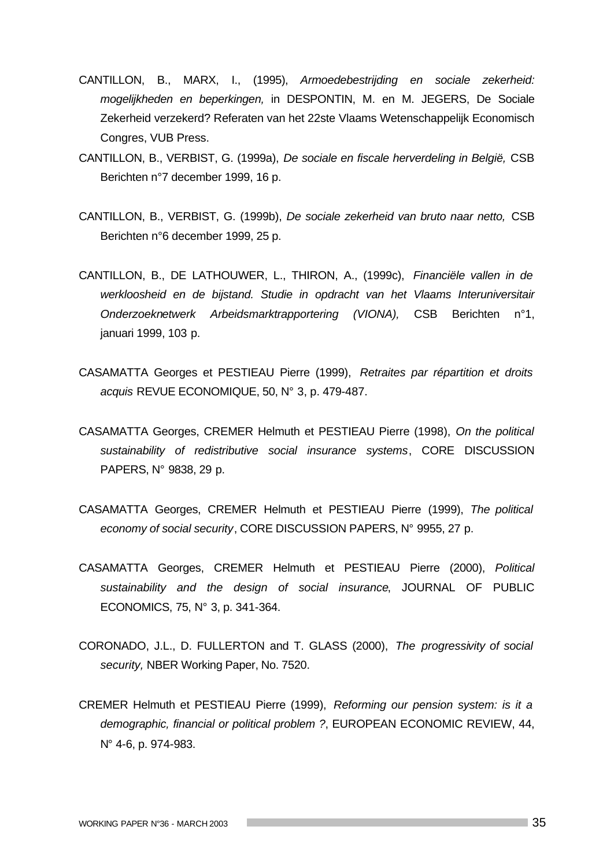- CANTILLON, B., MARX, I., (1995), *Armoedebestrijding en sociale zekerheid: mogelijkheden en beperkingen,* in DESPONTIN, M. en M. JEGERS, De Sociale Zekerheid verzekerd? Referaten van het 22ste Vlaams Wetenschappelijk Economisch Congres, VUB Press.
- CANTILLON, B., VERBIST, G. (1999a), *De sociale en fiscale herverdeling in België,* CSB Berichten n°7 december 1999, 16 p.
- CANTILLON, B., VERBIST, G. (1999b), *De sociale zekerheid van bruto naar netto,* CSB Berichten n°6 december 1999, 25 p.
- CANTILLON, B., DE LATHOUWER, L., THIRON, A., (1999c), *Financiële vallen in de werkloosheid en de bijstand. Studie in opdracht van het Vlaams Interuniversitair Onderzoeknetwerk Arbeidsmarktrapportering (VIONA),* CSB Berichten n°1, januari 1999, 103 p.
- CASAMATTA Georges et PESTIEAU Pierre (1999), *Retraites par répartition et droits acquis* REVUE ECONOMIQUE, 50, N° 3, p. 479-487.
- CASAMATTA Georges, CREMER Helmuth et PESTIEAU Pierre (1998), *On the political sustainability of redistributive social insurance systems*, CORE DISCUSSION PAPERS, N° 9838, 29 p.
- CASAMATTA Georges, CREMER Helmuth et PESTIEAU Pierre (1999), *The political economy of social security*, CORE DISCUSSION PAPERS, N° 9955, 27 p.
- CASAMATTA Georges, CREMER Helmuth et PESTIEAU Pierre (2000), *Political sustainability and the design of social insurance*, JOURNAL OF PUBLIC ECONOMICS, 75, N° 3, p. 341-364.
- CORONADO, J.L., D. FULLERTON and T. GLASS (2000), *The progressivity of social security,* NBER Working Paper, No. 7520.
- CREMER Helmuth et PESTIEAU Pierre (1999), *Reforming our pension system: is it a demographic, financial or political problem ?*, EUROPEAN ECONOMIC REVIEW, 44, N° 4-6, p. 974-983.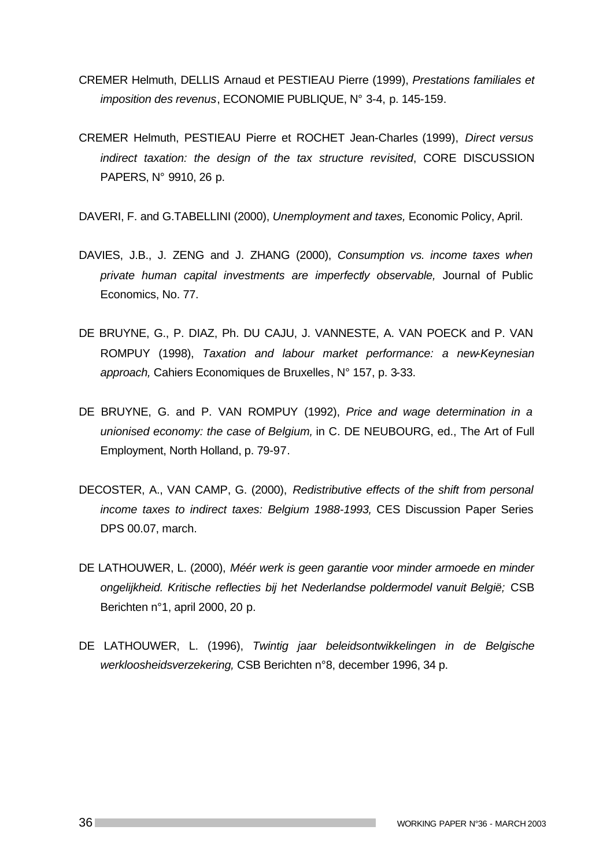- CREMER Helmuth, DELLIS Arnaud et PESTIEAU Pierre (1999), *Prestations familiales et imposition des revenus*, ECONOMIE PUBLIQUE, N° 3-4, p. 145-159.
- CREMER Helmuth, PESTIEAU Pierre et ROCHET Jean-Charles (1999), *Direct versus indirect taxation: the design of the tax structure revisited*, CORE DISCUSSION PAPERS, N° 9910, 26 p.

DAVERI, F. and G.TABELLINI (2000), *Unemployment and taxes,* Economic Policy, April.

- DAVIES, J.B., J. ZENG and J. ZHANG (2000), *Consumption vs. income taxes when private human capital investments are imperfectly observable,* Journal of Public Economics, No. 77.
- DE BRUYNE, G., P. DIAZ, Ph. DU CAJU, J. VANNESTE, A. VAN POECK and P. VAN ROMPUY (1998), *Taxation and labour market performance: a new-Keynesian approach,* Cahiers Economiques de Bruxelles, N° 157, p. 3-33.
- DE BRUYNE, G. and P. VAN ROMPUY (1992), *Price and wage determination in a unionised economy: the case of Belgium,* in C. DE NEUBOURG, ed., The Art of Full Employment, North Holland, p. 79-97.
- DECOSTER, A., VAN CAMP, G. (2000), *Redistributive effects of the shift from personal income taxes to indirect taxes: Belgium 1988-1993,* CES Discussion Paper Series DPS 00.07, march.
- DE LATHOUWER, L. (2000), *Méér werk is geen garantie voor minder armoede en minder ongelijkheid. Kritische reflecties bij het Nederlandse poldermodel vanuit België;* CSB Berichten n°1, april 2000, 20 p.
- DE LATHOUWER, L. (1996), *Twintig jaar beleidsontwikkelingen in de Belgische werkloosheidsverzekering,* CSB Berichten n°8, december 1996, 34 p.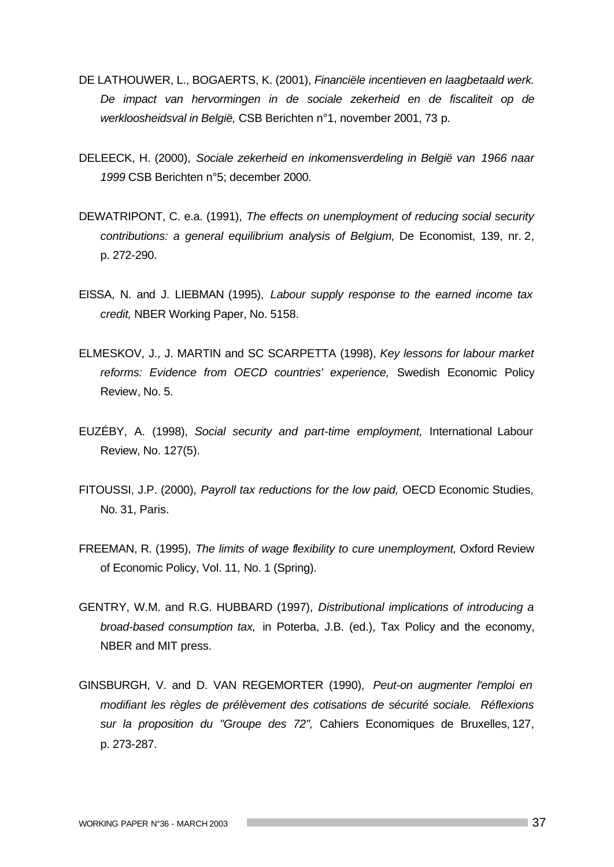- DE LATHOUWER, L., BOGAERTS, K. (2001), *Financiële incentieven en laagbetaald werk. De impact van hervormingen in de sociale zekerheid en de fiscaliteit op de werkloosheidsval in België,* CSB Berichten n°1, november 2001, 73 p.
- DELEECK, H. (2000), *Sociale zekerheid en inkomensverdeling in België van 1966 naar 1999* CSB Berichten n°5; december 2000.
- DEWATRIPONT, C. e.a. (1991), *The effects on unemployment of reducing social security contributions: a general equilibrium analysis of Belgium,* De Economist, 139, nr. 2, p. 272-290.
- EISSA, N. and J. LIEBMAN (1995), *Labour supply response to the earned income tax credit,* NBER Working Paper, No. 5158.
- ELMESKOV, J., J. MARTIN and SC SCARPETTA (1998), *Key lessons for labour market reforms: Evidence from OECD countries' experience,* Swedish Economic Policy Review, No. 5.
- EUZÉBY, A. (1998), *Social security and part-time employment,* International Labour Review, No. 127(5).
- FITOUSSI, J.P. (2000), *Payroll tax reductions for the low paid,* OECD Economic Studies, No. 31, Paris.
- FREEMAN, R. (1995), *The limits of wage flexibility to cure unemployment,* Oxford Review of Economic Policy, Vol. 11, No. 1 (Spring).
- GENTRY, W.M. and R.G. HUBBARD (1997), *Distributional implications of introducing a broad-based consumption tax,* in Poterba, J.B. (ed.), Tax Policy and the economy, NBER and MIT press.
- GINSBURGH, V. and D. VAN REGEMORTER (1990), *Peut-on augmenter l'emploi en modifiant les règles de prélèvement des cotisations de sécurité sociale. Réflexions sur la proposition du "Groupe des 72",* Cahiers Economiques de Bruxelles, 127, p. 273-287.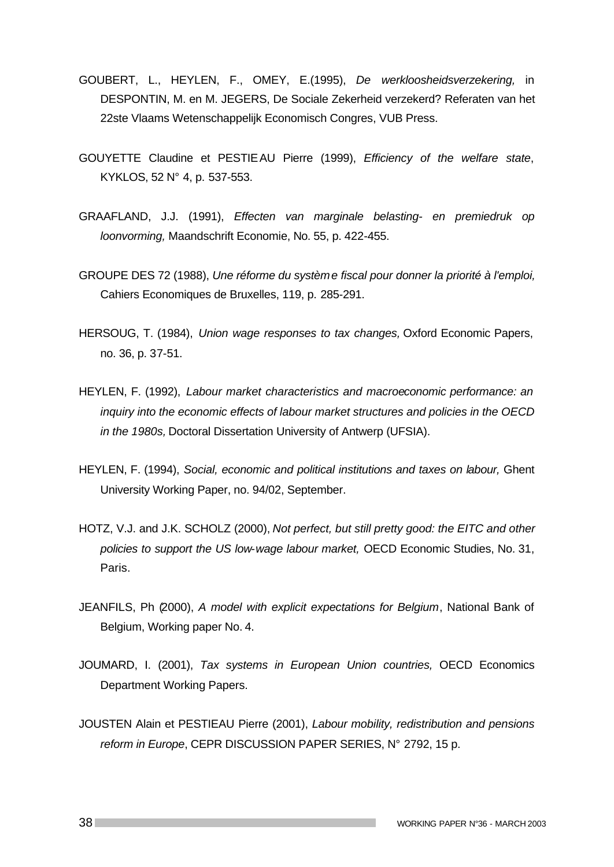- GOUBERT, L., HEYLEN, F., OMEY, E.(1995), *De werkloosheidsverzekering,* in DESPONTIN, M. en M. JEGERS, De Sociale Zekerheid verzekerd? Referaten van het 22ste Vlaams Wetenschappelijk Economisch Congres, VUB Press.
- GOUYETTE Claudine et PESTIEAU Pierre (1999), *Efficiency of the welfare state*, KYKLOS, 52 N° 4, p. 537-553.
- GRAAFLAND, J.J. (1991), *Effecten van marginale belasting- en premiedruk op loonvorming,* Maandschrift Economie, No. 55, p. 422-455.
- GROUPE DES 72 (1988), *Une réforme du système fiscal pour donner la priorité à l'emploi,*  Cahiers Economiques de Bruxelles, 119, p. 285-291.
- HERSOUG, T. (1984), *Union wage responses to tax changes,* Oxford Economic Papers, no. 36, p. 37-51.
- HEYLEN, F. (1992), *Labour market characteristics and macroeconomic performance: an inquiry into the economic effects of labour market structures and policies in the OECD in the 1980s,* Doctoral Dissertation University of Antwerp (UFSIA).
- HEYLEN, F. (1994), *Social, economic and political institutions and taxes on labour,* Ghent University Working Paper, no. 94/02, September.
- HOTZ, V.J. and J.K. SCHOLZ (2000), *Not perfect, but still pretty good: the EITC and other policies to support the US low-wage labour market,* OECD Economic Studies, No. 31, Paris.
- JEANFILS, Ph (2000), *A model with explicit expectations for Belgium*, National Bank of Belgium, Working paper No. 4.
- JOUMARD, I. (2001), *Tax systems in European Union countries,* OECD Economics Department Working Papers.
- JOUSTEN Alain et PESTIEAU Pierre (2001), *Labour mobility, redistribution and pensions reform in Europe*, CEPR DISCUSSION PAPER SERIES, N° 2792, 15 p.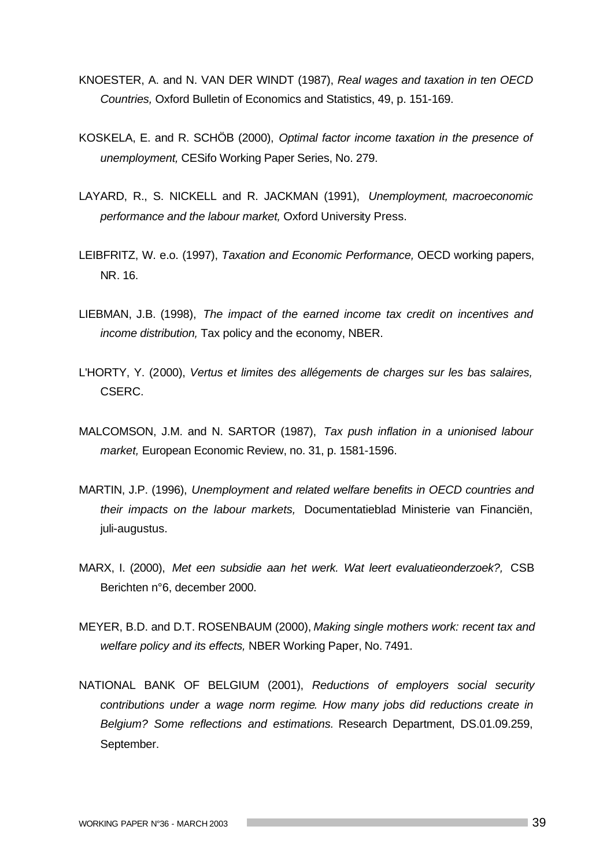- KNOESTER, A. and N. VAN DER WINDT (1987), *Real wages and taxation in ten OECD Countries,* Oxford Bulletin of Economics and Statistics, 49, p. 151-169.
- KOSKELA, E. and R. SCHÖB (2000), *Optimal factor income taxation in the presence of unemployment,* CESifo Working Paper Series, No. 279.
- LAYARD, R., S. NICKELL and R. JACKMAN (1991), *Unemployment, macroeconomic performance and the labour market,* Oxford University Press.
- LEIBFRITZ, W. e.o. (1997), *Taxation and Economic Performance,* OECD working papers, NR. 16.
- LIEBMAN, J.B. (1998), *The impact of the earned income tax credit on incentives and income distribution,* Tax policy and the economy, NBER.
- L'HORTY, Y. (2000), *Vertus et limites des allégements de charges sur les bas salaires,*  CSERC.
- MALCOMSON, J.M. and N. SARTOR (1987), *Tax push inflation in a unionised labour market,* European Economic Review, no. 31, p. 1581-1596.
- MARTIN, J.P. (1996), *Unemployment and related welfare benefits in OECD countries and their impacts on the labour markets,* Documentatieblad Ministerie van Financiën, juli-augustus.
- MARX, I. (2000), *Met een subsidie aan het werk. Wat leert evaluatieonderzoek?,* CSB Berichten n°6, december 2000.
- MEYER, B.D. and D.T. ROSENBAUM (2000), *Making single mothers work: recent tax and welfare policy and its effects,* NBER Working Paper, No. 7491.
- NATIONAL BANK OF BELGIUM (2001), *Reductions of employers social security contributions under a wage norm regime. How many jobs did reductions create in Belgium? Some reflections and estimations.* Research Department, DS.01.09.259, September.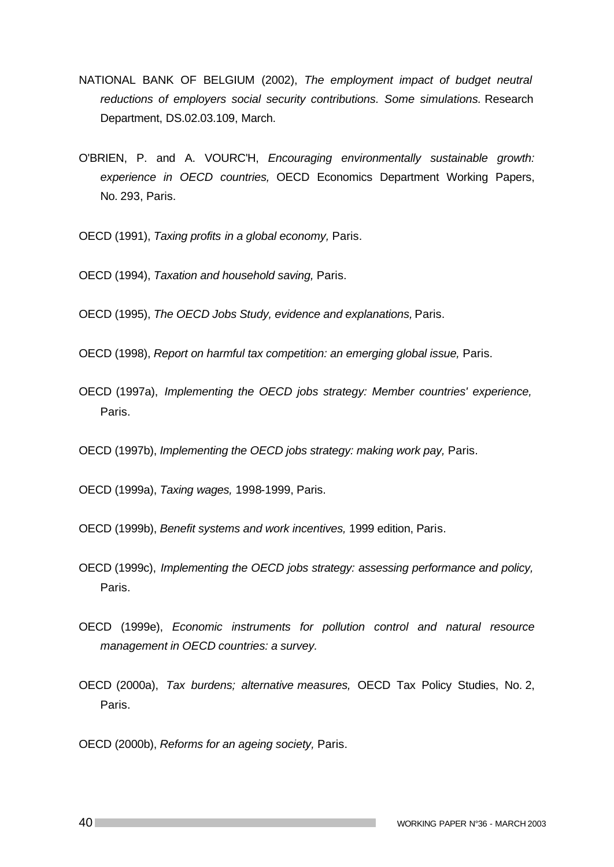- NATIONAL BANK OF BELGIUM (2002), *The employment impact of budget neutral reductions of employers social security contributions. Some simulations.* Research Department, DS.02.03.109, March.
- O'BRIEN, P. and A. VOURC'H, *Encouraging environmentally sustainable growth: experience in OECD countries,* OECD Economics Department Working Papers, No. 293, Paris.
- OECD (1991), *Taxing profits in a global economy,* Paris.
- OECD (1994), *Taxation and household saving,* Paris.
- OECD (1995), *The OECD Jobs Study, evidence and explanations,* Paris.
- OECD (1998), *Report on harmful tax competition: an emerging global issue,* Paris.
- OECD (1997a), *Implementing the OECD jobs strategy: Member countries' experience,*  Paris.
- OECD (1997b), *Implementing the OECD jobs strategy: making work pay,* Paris.
- OECD (1999a), *Taxing wages,* 1998-1999, Paris.
- OECD (1999b), *Benefit systems and work incentives,* 1999 edition, Paris.
- OECD (1999c), *Implementing the OECD jobs strategy: assessing performance and policy,*  Paris.
- OECD (1999e), *Economic instruments for pollution control and natural resource management in OECD countries: a survey.*
- OECD (2000a), *Tax burdens; alternative measures,* OECD Tax Policy Studies, No. 2, Paris.
- OECD (2000b), *Reforms for an ageing society,* Paris.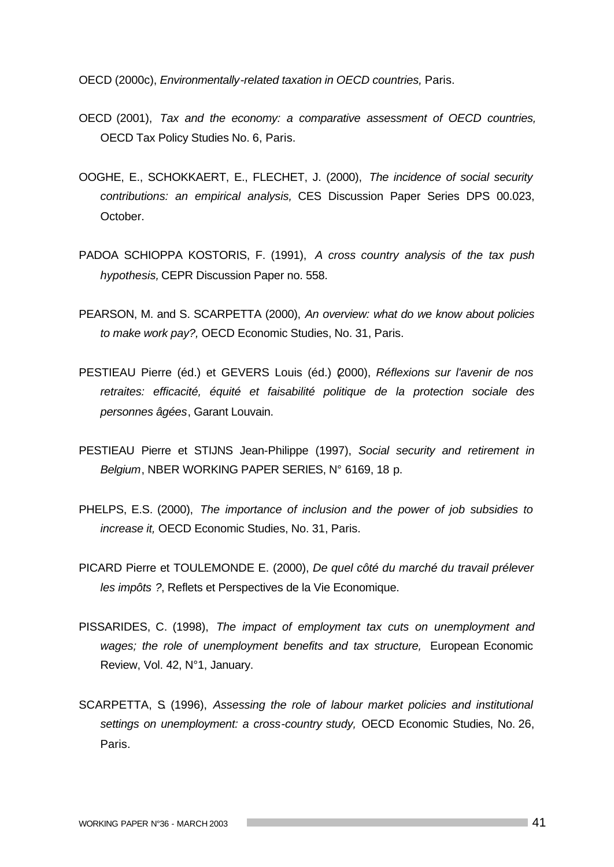OECD (2000c), *Environmentally-related taxation in OECD countries,* Paris.

- OECD (2001), *Tax and the economy: a comparative assessment of OECD countries,* OECD Tax Policy Studies No. 6, Paris.
- OOGHE, E., SCHOKKAERT, E., FLECHET, J. (2000), *The incidence of social security contributions: an empirical analysis,* CES Discussion Paper Series DPS 00.023, October.
- PADOA SCHIOPPA KOSTORIS, F. (1991), *A cross country analysis of the tax push hypothesis,* CEPR Discussion Paper no. 558.
- PEARSON, M. and S. SCARPETTA (2000), *An overview: what do we know about policies to make work pay?,* OECD Economic Studies, No. 31, Paris.
- PESTIEAU Pierre (éd.) et GEVERS Louis (éd.) (2000), *Réflexions sur l'avenir de nos retraites: efficacité, équité et faisabilité politique de la protection sociale des personnes âgées*, Garant Louvain.
- PESTIEAU Pierre et STIJNS Jean-Philippe (1997), *Social security and retirement in Belgium*, NBER WORKING PAPER SERIES, N° 6169, 18 p.
- PHELPS, E.S. (2000), *The importance of inclusion and the power of job subsidies to increase it,* OECD Economic Studies, No. 31, Paris.
- PICARD Pierre et TOULEMONDE E. (2000), *De quel côté du marché du travail prélever les impôts ?*, Reflets et Perspectives de la Vie Economique.
- PISSARIDES, C. (1998), *The impact of employment tax cuts on unemployment and wages; the role of unemployment benefits and tax structure,* European Economic Review, Vol. 42, N°1, January.
- SCARPETTA, S. (1996), *Assessing the role of labour market policies and institutional settings on unemployment: a cross-country study,* OECD Economic Studies, No. 26, Paris.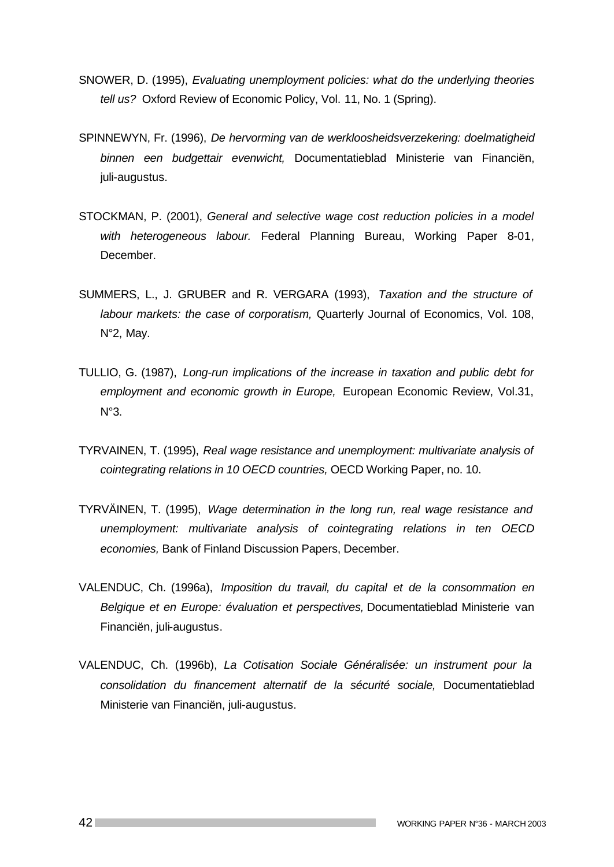- SNOWER, D. (1995), *Evaluating unemployment policies: what do the underlying theories tell us?* Oxford Review of Economic Policy, Vol. 11, No. 1 (Spring).
- SPINNEWYN, Fr. (1996), *De hervorming van de werkloosheidsverzekering: doelmatigheid binnen een budgettair evenwicht,* Documentatieblad Ministerie van Financiën, juli-augustus.
- STOCKMAN, P. (2001), *General and selective wage cost reduction policies in a model with heterogeneous labour.* Federal Planning Bureau, Working Paper 8-01, December.
- SUMMERS, L., J. GRUBER and R. VERGARA (1993), *Taxation and the structure of labour markets: the case of corporatism,* Quarterly Journal of Economics, Vol. 108, N°2, May.
- TULLIO, G. (1987), *Long-run implications of the increase in taxation and public debt for employment and economic growth in Europe,* European Economic Review, Vol.31, N°3.
- TYRVAINEN, T. (1995), *Real wage resistance and unemployment: multivariate analysis of cointegrating relations in 10 OECD countries,* OECD Working Paper, no. 10.
- TYRVÄINEN, T. (1995), *Wage determination in the long run, real wage resistance and unemployment: multivariate analysis of cointegrating relations in ten OECD economies,* Bank of Finland Discussion Papers, December.
- VALENDUC, Ch. (1996a), *Imposition du travail, du capital et de la consommation en Belgique et en Europe: évaluation et perspectives,* Documentatieblad Ministerie van Financiën, juli-augustus.
- VALENDUC, Ch. (1996b), *La Cotisation Sociale Généralisée: un instrument pour la consolidation du financement alternatif de la sécurité sociale,* Documentatieblad Ministerie van Financiën, juli-augustus.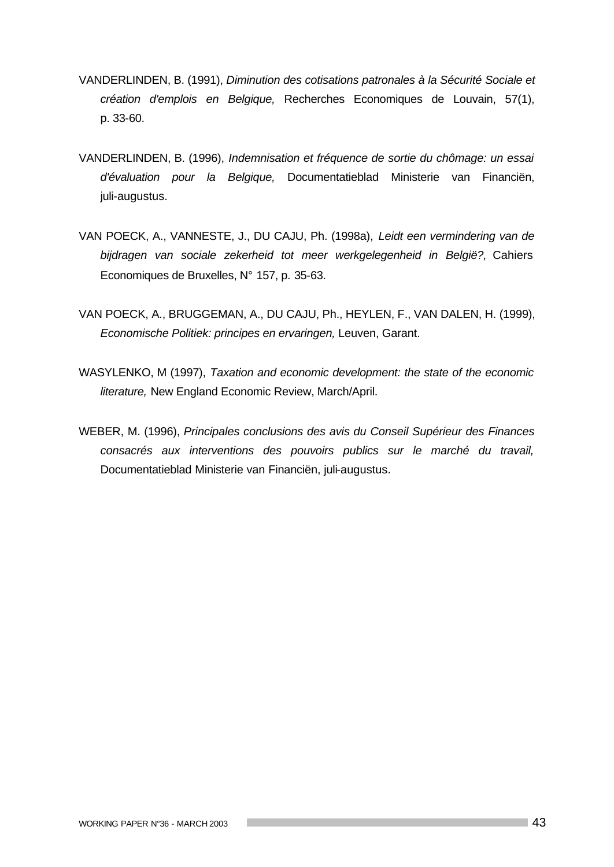- VANDERLINDEN, B. (1991), *Diminution des cotisations patronales à la Sécurité Sociale et création d'emplois en Belgique,* Recherches Economiques de Louvain, 57(1), p. 33-60.
- VANDERLINDEN, B. (1996), *Indemnisation et fréquence de sortie du chômage: un essai d'évaluation pour la Belgique,* Documentatieblad Ministerie van Financiën, juli-augustus.
- VAN POECK, A., VANNESTE, J., DU CAJU, Ph. (1998a), *Leidt een vermindering van de bijdragen van sociale zekerheid tot meer werkgelegenheid in België?,* Cahiers Economiques de Bruxelles, N° 157, p. 35-63.
- VAN POECK, A., BRUGGEMAN, A., DU CAJU, Ph., HEYLEN, F., VAN DALEN, H. (1999), *Economische Politiek: principes en ervaringen,* Leuven, Garant.
- WASYLENKO, M (1997), *Taxation and economic development: the state of the economic literature,* New England Economic Review, March/April.
- WEBER, M. (1996), *Principales conclusions des avis du Conseil Supérieur des Finances consacrés aux interventions des pouvoirs publics sur le marché du travail,* Documentatieblad Ministerie van Financiën, juli-augustus.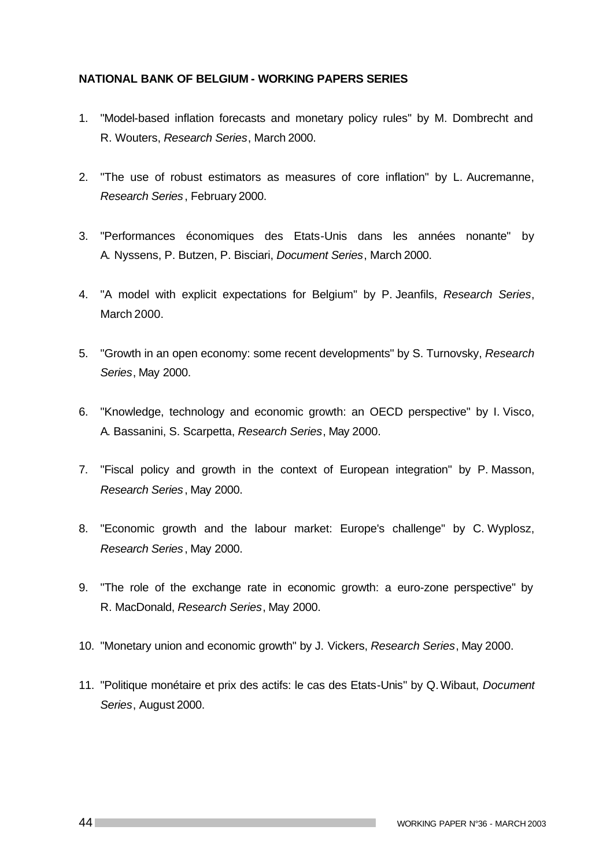# **NATIONAL BANK OF BELGIUM - WORKING PAPERS SERIES**

- 1. "Model-based inflation forecasts and monetary policy rules" by M. Dombrecht and R. Wouters, *Research Series*, March 2000.
- 2. "The use of robust estimators as measures of core inflation" by L. Aucremanne, *Research Series*, February 2000.
- 3. "Performances économiques des Etats-Unis dans les années nonante" by A. Nyssens, P. Butzen, P. Bisciari, *Document Series*, March 2000.
- 4. "A model with explicit expectations for Belgium" by P. Jeanfils, *Research Series*, March 2000.
- 5. "Growth in an open economy: some recent developments" by S. Turnovsky, *Research Series*, May 2000.
- 6. "Knowledge, technology and economic growth: an OECD perspective" by I. Visco, A. Bassanini, S. Scarpetta, *Research Series*, May 2000.
- 7. "Fiscal policy and growth in the context of European integration" by P. Masson, *Research Series*, May 2000.
- 8. "Economic growth and the labour market: Europe's challenge" by C. Wyplosz, *Research Series*, May 2000.
- 9. "The role of the exchange rate in economic growth: a euro-zone perspective" by R. MacDonald, *Research Series*, May 2000.
- 10. "Monetary union and economic growth" by J. Vickers, *Research Series*, May 2000.
- 11. "Politique monétaire et prix des actifs: le cas des Etats-Unis" by Q.Wibaut, *Document Series*, August 2000.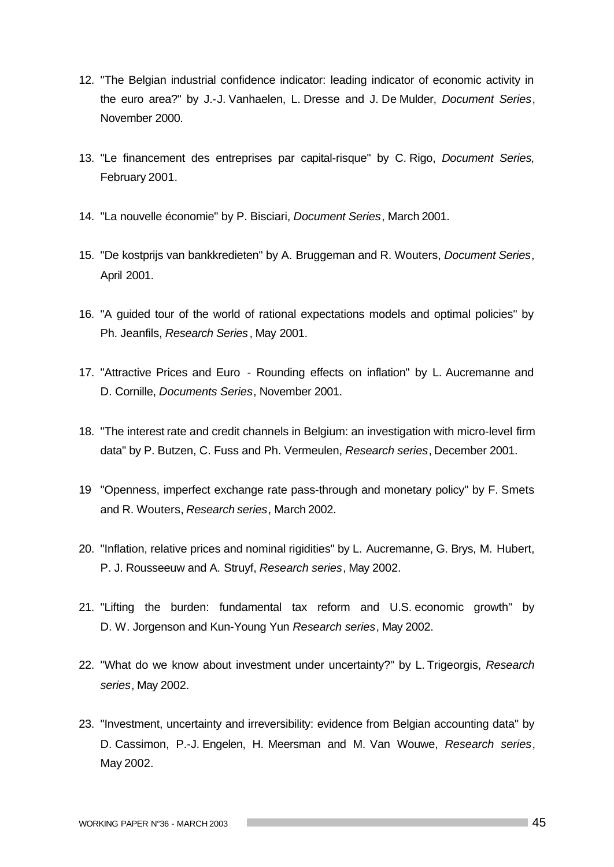- 12. "The Belgian industrial confidence indicator: leading indicator of economic activity in the euro area?" by J.-J. Vanhaelen, L. Dresse and J. De Mulder, *Document Series*, November 2000.
- 13. "Le financement des entreprises par capital-risque" by C. Rigo, *Document Series,* February 2001.
- 14. "La nouvelle économie" by P. Bisciari, *Document Series*, March 2001.
- 15. "De kostprijs van bankkredieten" by A. Bruggeman and R. Wouters, *Document Series*, April 2001.
- 16. "A guided tour of the world of rational expectations models and optimal policies" by Ph. Jeanfils, *Research Series*, May 2001.
- 17. "Attractive Prices and Euro Rounding effects on inflation" by L. Aucremanne and D. Cornille, *Documents Series*, November 2001.
- 18. "The interest rate and credit channels in Belgium: an investigation with micro-level firm data" by P. Butzen, C. Fuss and Ph. Vermeulen, *Research series*, December 2001.
- 19 "Openness, imperfect exchange rate pass-through and monetary policy" by F. Smets and R. Wouters, *Research series*, March 2002.
- 20. "Inflation, relative prices and nominal rigidities" by L. Aucremanne, G. Brys, M. Hubert, P. J. Rousseeuw and A. Struyf, *Research series*, May 2002.
- 21. "Lifting the burden: fundamental tax reform and U.S. economic growth" by D. W. Jorgenson and Kun-Young Yun *Research series*, May 2002.
- 22. "What do we know about investment under uncertainty?" by L. Trigeorgis, *Research series*, May 2002.
- 23. "Investment, uncertainty and irreversibility: evidence from Belgian accounting data" by D. Cassimon, P.-J. Engelen, H. Meersman and M. Van Wouwe, *Research series*, May 2002.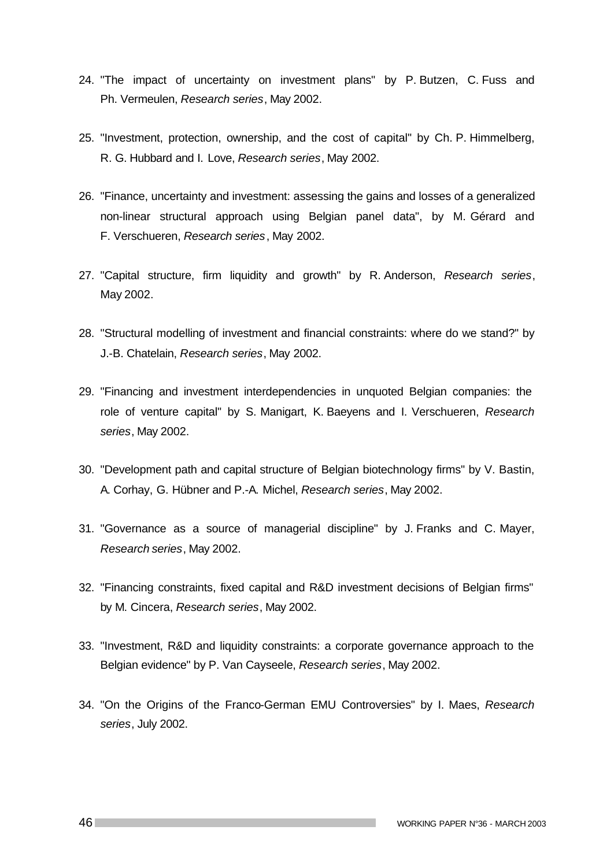- 24. "The impact of uncertainty on investment plans" by P. Butzen, C. Fuss and Ph. Vermeulen, *Research series*, May 2002.
- 25. "Investment, protection, ownership, and the cost of capital" by Ch. P. Himmelberg, R. G. Hubbard and I. Love, *Research series*, May 2002.
- 26. "Finance, uncertainty and investment: assessing the gains and losses of a generalized non-linear structural approach using Belgian panel data", by M. Gérard and F. Verschueren, *Research series*, May 2002.
- 27. "Capital structure, firm liquidity and growth" by R. Anderson, *Research series*, May 2002.
- 28. "Structural modelling of investment and financial constraints: where do we stand?" by J.-B. Chatelain, *Research series*, May 2002.
- 29. "Financing and investment interdependencies in unquoted Belgian companies: the role of venture capital" by S. Manigart, K. Baeyens and I. Verschueren, *Research series*, May 2002.
- 30. "Development path and capital structure of Belgian biotechnology firms" by V. Bastin, A. Corhay, G. Hübner and P.-A. Michel, *Research series*, May 2002.
- 31. "Governance as a source of managerial discipline" by J. Franks and C. Mayer, *Research series*, May 2002.
- 32. "Financing constraints, fixed capital and R&D investment decisions of Belgian firms" by M. Cincera, *Research series*, May 2002.
- 33. "Investment, R&D and liquidity constraints: a corporate governance approach to the Belgian evidence" by P. Van Cayseele, *Research series*, May 2002.
- 34. "On the Origins of the Franco-German EMU Controversies" by I. Maes, *Research series*, July 2002.